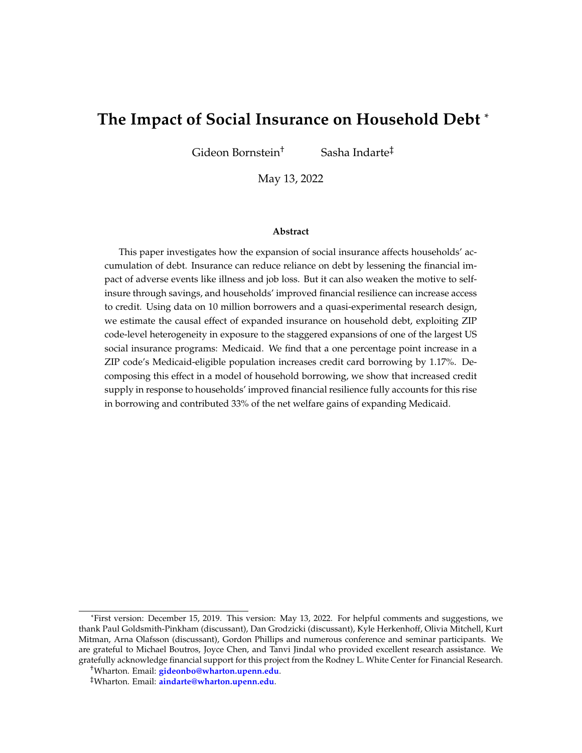# **The Impact of Social Insurance on Household Debt** \*

Gideon Bornstein<sup>†</sup> Sasha Indarte<sup>‡</sup>

May 13, 2022

#### **Abstract**

This paper investigates how the expansion of social insurance affects households' accumulation of debt. Insurance can reduce reliance on debt by lessening the financial impact of adverse events like illness and job loss. But it can also weaken the motive to selfinsure through savings, and households' improved financial resilience can increase access to credit. Using data on 10 million borrowers and a quasi-experimental research design, we estimate the causal effect of expanded insurance on household debt, exploiting ZIP code-level heterogeneity in exposure to the staggered expansions of one of the largest US social insurance programs: Medicaid. We find that a one percentage point increase in a ZIP code's Medicaid-eligible population increases credit card borrowing by 1.17%. Decomposing this effect in a model of household borrowing, we show that increased credit supply in response to households' improved financial resilience fully accounts for this rise in borrowing and contributed 33% of the net welfare gains of expanding Medicaid.

<sup>\*</sup>First version: December 15, 2019. This version: May 13, 2022. For helpful comments and suggestions, we thank Paul Goldsmith-Pinkham (discussant), Dan Grodzicki (discussant), Kyle Herkenhoff, Olivia Mitchell, Kurt Mitman, Arna Olafsson (discussant), Gordon Phillips and numerous conference and seminar participants. We are grateful to Michael Boutros, Joyce Chen, and Tanvi Jindal who provided excellent research assistance. We gratefully acknowledge financial support for this project from the Rodney L. White Center for Financial Research.

<sup>†</sup>Wharton. Email: **[gideonbo@wharton.upenn.edu](mailto:gideonbo@wharton.upenn.edu)**.

<sup>‡</sup>Wharton. Email: **[aindarte@wharton.upenn.edu](mailto:aindarte@wharton.upenn.edu)**.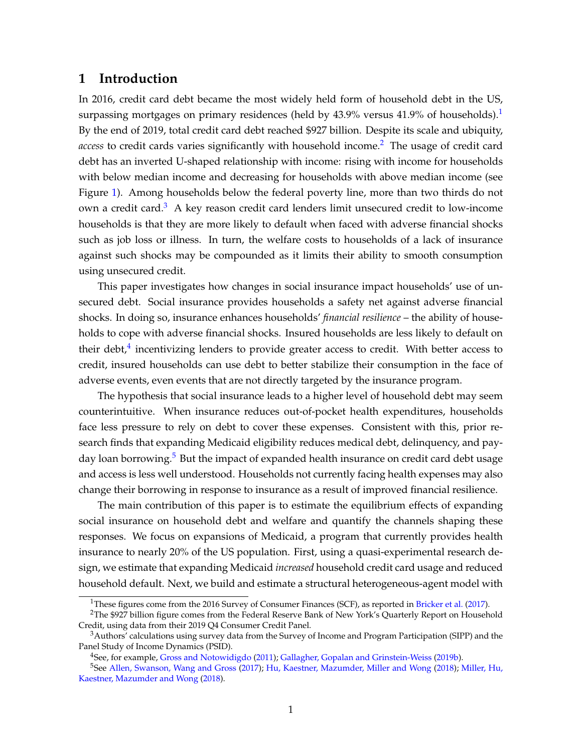## **1 Introduction**

In 2016, credit card debt became the most widely held form of household debt in the US, surpassing mortgages on primary residences (held by 43.9% versus 4[1](#page-1-0).9% of households).<sup>1</sup> By the end of 2019, total credit card debt reached \$927 billion. Despite its scale and ubiquity, *access* to credit cards varies significantly with household income.<sup>[2](#page-1-1)</sup> The usage of credit card debt has an inverted U-shaped relationship with income: rising with income for households with below median income and decreasing for households with above median income (see Figure [1\)](#page-2-0). Among households below the federal poverty line, more than two thirds do not own a credit card.<sup>[3](#page-1-2)</sup> A key reason credit card lenders limit unsecured credit to low-income households is that they are more likely to default when faced with adverse financial shocks such as job loss or illness. In turn, the welfare costs to households of a lack of insurance against such shocks may be compounded as it limits their ability to smooth consumption using unsecured credit.

This paper investigates how changes in social insurance impact households' use of unsecured debt. Social insurance provides households a safety net against adverse financial shocks. In doing so, insurance enhances households' *financial resilience* – the ability of households to cope with adverse financial shocks. Insured households are less likely to default on their debt, $4$  incentivizing lenders to provide greater access to credit. With better access to credit, insured households can use debt to better stabilize their consumption in the face of adverse events, even events that are not directly targeted by the insurance program.

The hypothesis that social insurance leads to a higher level of household debt may seem counterintuitive. When insurance reduces out-of-pocket health expenditures, households face less pressure to rely on debt to cover these expenses. Consistent with this, prior research finds that expanding Medicaid eligibility reduces medical debt, delinquency, and pay-day loan borrowing.<sup>[5](#page-1-4)</sup> But the impact of expanded health insurance on credit card debt usage and access is less well understood. Households not currently facing health expenses may also change their borrowing in response to insurance as a result of improved financial resilience.

The main contribution of this paper is to estimate the equilibrium effects of expanding social insurance on household debt and welfare and quantify the channels shaping these responses. We focus on expansions of Medicaid, a program that currently provides health insurance to nearly 20% of the US population. First, using a quasi-experimental research design, we estimate that expanding Medicaid *increased* household credit card usage and reduced household default. Next, we build and estimate a structural heterogeneous-agent model with

<span id="page-1-1"></span><span id="page-1-0"></span><sup>&</sup>lt;sup>1</sup>These figures come from the 2016 Survey of Consumer Finances (SCF), as reported in [Bricker et al.](#page-29-0) [\(2017\)](#page-29-0).

<sup>&</sup>lt;sup>2</sup>The \$927 billion figure comes from the Federal Reserve Bank of New York's Quarterly Report on Household Credit, using data from their 2019 Q4 Consumer Credit Panel.

<span id="page-1-2"></span><sup>&</sup>lt;sup>3</sup>Authors' calculations using survey data from the Survey of Income and Program Participation (SIPP) and the Panel Study of Income Dynamics (PSID).

<span id="page-1-4"></span><span id="page-1-3"></span><sup>4</sup>See, for example, [Gross and Notowidigdo](#page-30-0) [\(2011\)](#page-30-0); [Gallagher, Gopalan and Grinstein-Weiss](#page-30-1) [\(2019b\)](#page-30-1).

<sup>5</sup>See [Allen, Swanson, Wang and Gross](#page-29-1) [\(2017\)](#page-29-1); [Hu, Kaestner, Mazumder, Miller and Wong](#page-30-2) [\(2018\)](#page-30-2); [Miller, Hu,](#page-31-0) [Kaestner, Mazumder and Wong](#page-31-0) [\(2018\)](#page-31-0).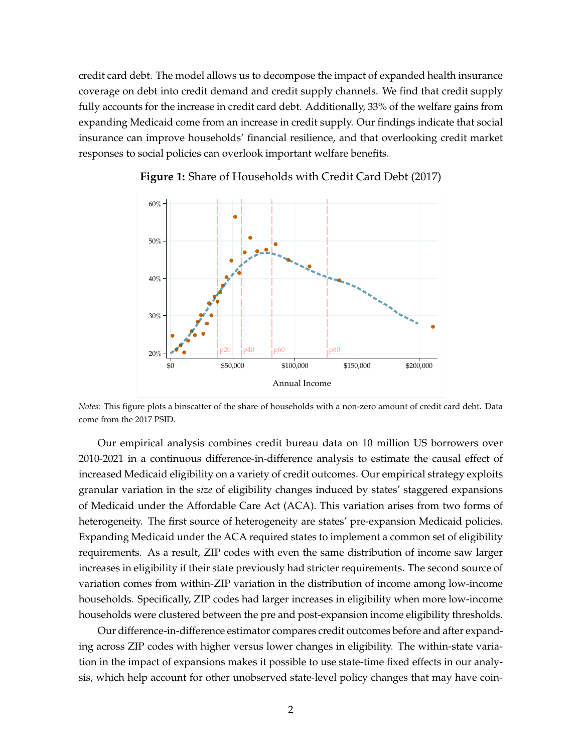credit card debt. The model allows us to decompose the impact of expanded health insurance coverage on debt into credit demand and credit supply channels. We find that credit supply fully accounts for the increase in credit card debt. Additionally, 33% of the welfare gains from expanding Medicaid come from an increase in credit supply. Our findings indicate that social insurance can improve households' financial resilience, and that overlooking credit market responses to social policies can overlook important welfare benefits.

<span id="page-2-0"></span>

**Figure 1:** Share of Households with Credit Card Debt (2017)

*Notes:* This figure plots a binscatter of the share of households with a non-zero amount of credit card debt. Data come from the 2017 PSID.

Our empirical analysis combines credit bureau data on 10 million US borrowers over 2010-2021 in a continuous difference-in-difference analysis to estimate the causal effect of increased Medicaid eligibility on a variety of credit outcomes. Our empirical strategy exploits granular variation in the *size* of eligibility changes induced by states' staggered expansions of Medicaid under the Affordable Care Act (ACA). This variation arises from two forms of heterogeneity. The first source of heterogeneity are states' pre-expansion Medicaid policies. Expanding Medicaid under the ACA required states to implement a common set of eligibility requirements. As a result, ZIP codes with even the same distribution of income saw larger increases in eligibility if their state previously had stricter requirements. The second source of variation comes from within-ZIP variation in the distribution of income among low-income households. Specifically, ZIP codes had larger increases in eligibility when more low-income households were clustered between the pre and post-expansion income eligibility thresholds.

Our difference-in-difference estimator compares credit outcomes before and after expanding across ZIP codes with higher versus lower changes in eligibility. The within-state variation in the impact of expansions makes it possible to use state-time fixed effects in our analysis, which help account for other unobserved state-level policy changes that may have coin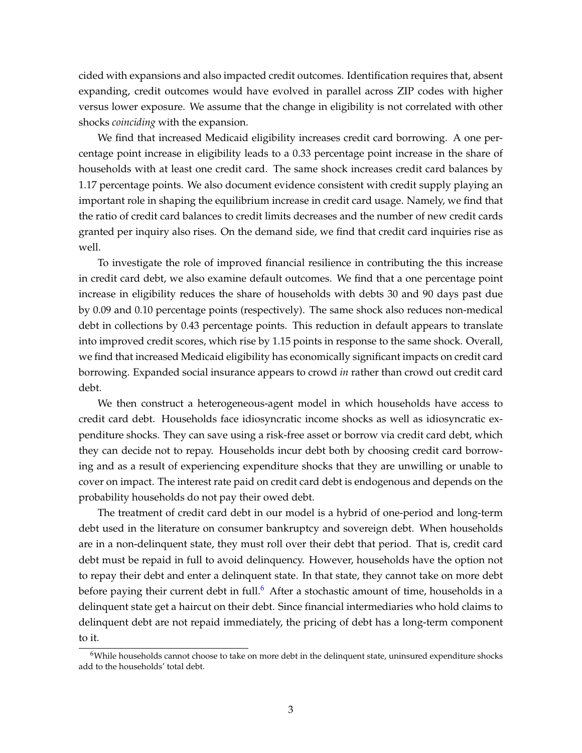cided with expansions and also impacted credit outcomes. Identification requires that, absent expanding, credit outcomes would have evolved in parallel across ZIP codes with higher versus lower exposure. We assume that the change in eligibility is not correlated with other shocks *coinciding* with the expansion.

We find that increased Medicaid eligibility increases credit card borrowing. A one percentage point increase in eligibility leads to a 0.33 percentage point increase in the share of households with at least one credit card. The same shock increases credit card balances by 1.17 percentage points. We also document evidence consistent with credit supply playing an important role in shaping the equilibrium increase in credit card usage. Namely, we find that the ratio of credit card balances to credit limits decreases and the number of new credit cards granted per inquiry also rises. On the demand side, we find that credit card inquiries rise as well.

To investigate the role of improved financial resilience in contributing the this increase in credit card debt, we also examine default outcomes. We find that a one percentage point increase in eligibility reduces the share of households with debts 30 and 90 days past due by 0.09 and 0.10 percentage points (respectively). The same shock also reduces non-medical debt in collections by 0.43 percentage points. This reduction in default appears to translate into improved credit scores, which rise by 1.15 points in response to the same shock. Overall, we find that increased Medicaid eligibility has economically significant impacts on credit card borrowing. Expanded social insurance appears to crowd *in* rather than crowd out credit card debt.

We then construct a heterogeneous-agent model in which households have access to credit card debt. Households face idiosyncratic income shocks as well as idiosyncratic expenditure shocks. They can save using a risk-free asset or borrow via credit card debt, which they can decide not to repay. Households incur debt both by choosing credit card borrowing and as a result of experiencing expenditure shocks that they are unwilling or unable to cover on impact. The interest rate paid on credit card debt is endogenous and depends on the probability households do not pay their owed debt.

The treatment of credit card debt in our model is a hybrid of one-period and long-term debt used in the literature on consumer bankruptcy and sovereign debt. When households are in a non-delinquent state, they must roll over their debt that period. That is, credit card debt must be repaid in full to avoid delinquency. However, households have the option not to repay their debt and enter a delinquent state. In that state, they cannot take on more debt before paying their current debt in full.<sup>[6](#page-3-0)</sup> After a stochastic amount of time, households in a delinquent state get a haircut on their debt. Since financial intermediaries who hold claims to delinquent debt are not repaid immediately, the pricing of debt has a long-term component to it.

<span id="page-3-0"></span> $6$ While households cannot choose to take on more debt in the delinquent state, uninsured expenditure shocks add to the households' total debt.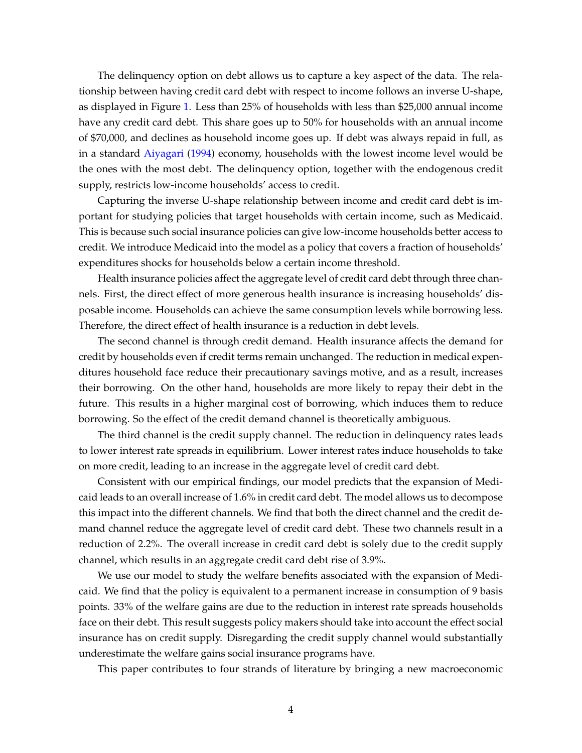The delinquency option on debt allows us to capture a key aspect of the data. The relationship between having credit card debt with respect to income follows an inverse U-shape, as displayed in Figure [1.](#page-2-0) Less than 25% of households with less than \$25,000 annual income have any credit card debt. This share goes up to 50% for households with an annual income of \$70,000, and declines as household income goes up. If debt was always repaid in full, as in a standard [Aiyagari](#page-29-2) [\(1994\)](#page-29-2) economy, households with the lowest income level would be the ones with the most debt. The delinquency option, together with the endogenous credit supply, restricts low-income households' access to credit.

Capturing the inverse U-shape relationship between income and credit card debt is important for studying policies that target households with certain income, such as Medicaid. This is because such social insurance policies can give low-income households better access to credit. We introduce Medicaid into the model as a policy that covers a fraction of households' expenditures shocks for households below a certain income threshold.

Health insurance policies affect the aggregate level of credit card debt through three channels. First, the direct effect of more generous health insurance is increasing households' disposable income. Households can achieve the same consumption levels while borrowing less. Therefore, the direct effect of health insurance is a reduction in debt levels.

The second channel is through credit demand. Health insurance affects the demand for credit by households even if credit terms remain unchanged. The reduction in medical expenditures household face reduce their precautionary savings motive, and as a result, increases their borrowing. On the other hand, households are more likely to repay their debt in the future. This results in a higher marginal cost of borrowing, which induces them to reduce borrowing. So the effect of the credit demand channel is theoretically ambiguous.

The third channel is the credit supply channel. The reduction in delinquency rates leads to lower interest rate spreads in equilibrium. Lower interest rates induce households to take on more credit, leading to an increase in the aggregate level of credit card debt.

Consistent with our empirical findings, our model predicts that the expansion of Medicaid leads to an overall increase of 1.6% in credit card debt. The model allows us to decompose this impact into the different channels. We find that both the direct channel and the credit demand channel reduce the aggregate level of credit card debt. These two channels result in a reduction of 2.2%. The overall increase in credit card debt is solely due to the credit supply channel, which results in an aggregate credit card debt rise of 3.9%.

We use our model to study the welfare benefits associated with the expansion of Medicaid. We find that the policy is equivalent to a permanent increase in consumption of 9 basis points. 33% of the welfare gains are due to the reduction in interest rate spreads households face on their debt. This result suggests policy makers should take into account the effect social insurance has on credit supply. Disregarding the credit supply channel would substantially underestimate the welfare gains social insurance programs have.

This paper contributes to four strands of literature by bringing a new macroeconomic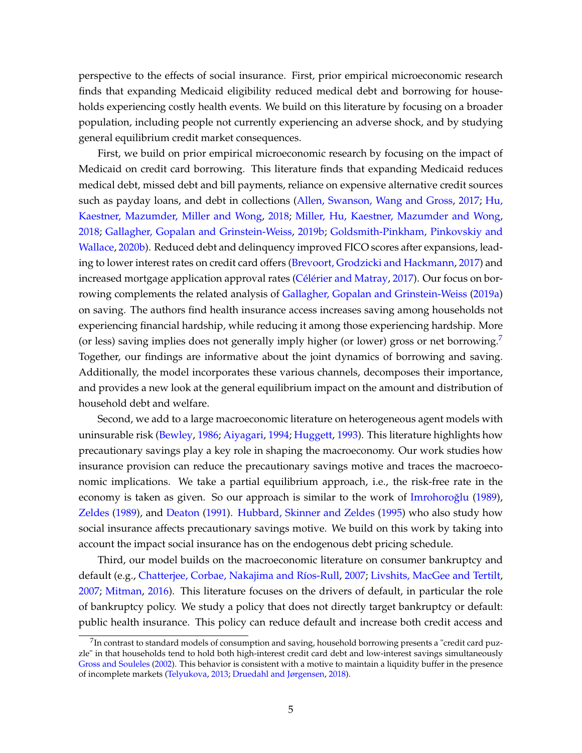perspective to the effects of social insurance. First, prior empirical microeconomic research finds that expanding Medicaid eligibility reduced medical debt and borrowing for households experiencing costly health events. We build on this literature by focusing on a broader population, including people not currently experiencing an adverse shock, and by studying general equilibrium credit market consequences.

First, we build on prior empirical microeconomic research by focusing on the impact of Medicaid on credit card borrowing. This literature finds that expanding Medicaid reduces medical debt, missed debt and bill payments, reliance on expensive alternative credit sources such as payday loans, and debt in collections [\(Allen, Swanson, Wang and Gross,](#page-29-1) [2017;](#page-29-1) [Hu,](#page-30-2) [Kaestner, Mazumder, Miller and Wong,](#page-30-2) [2018;](#page-30-2) [Miller, Hu, Kaestner, Mazumder and Wong,](#page-31-0) [2018;](#page-31-0) [Gallagher, Gopalan and Grinstein-Weiss,](#page-30-1) [2019b;](#page-30-1) [Goldsmith-Pinkham, Pinkovskiy and](#page-30-3) [Wallace,](#page-30-3) [2020b\)](#page-30-3). Reduced debt and delinquency improved FICO scores after expansions, leading to lower interest rates on credit card offers [\(Brevoort, Grodzicki and Hackmann,](#page-29-3) [2017\)](#page-29-3) and increased mortgage application approval rates [\(Célérier and Matray,](#page-29-4) [2017\)](#page-29-4). Our focus on borrowing complements the related analysis of [Gallagher, Gopalan and Grinstein-Weiss](#page-30-4) [\(2019a\)](#page-30-4) on saving. The authors find health insurance access increases saving among households not experiencing financial hardship, while reducing it among those experiencing hardship. More (or less) saving implies does not generally imply higher (or lower) gross or net borrowing.[7](#page-5-0) Together, our findings are informative about the joint dynamics of borrowing and saving. Additionally, the model incorporates these various channels, decomposes their importance, and provides a new look at the general equilibrium impact on the amount and distribution of household debt and welfare.

Second, we add to a large macroeconomic literature on heterogeneous agent models with uninsurable risk [\(Bewley,](#page-29-5) [1986;](#page-29-5) [Aiyagari,](#page-29-2) [1994;](#page-29-2) [Huggett,](#page-30-5) [1993\)](#page-30-5). This literature highlights how precautionary savings play a key role in shaping the macroeconomy. Our work studies how insurance provision can reduce the precautionary savings motive and traces the macroeconomic implications. We take a partial equilibrium approach, i.e., the risk-free rate in the economy is taken as given. So our approach is similar to the work of Imrohoroğlu [\(1989\)](#page-30-6), [Zeldes](#page-31-1) [\(1989\)](#page-31-1), and [Deaton](#page-30-7) [\(1991\)](#page-30-7). [Hubbard, Skinner and Zeldes](#page-30-8) [\(1995\)](#page-30-8) who also study how social insurance affects precautionary savings motive. We build on this work by taking into account the impact social insurance has on the endogenous debt pricing schedule.

Third, our model builds on the macroeconomic literature on consumer bankruptcy and default (e.g., [Chatterjee, Corbae, Nakajima and Ríos-Rull,](#page-29-6) [2007;](#page-29-6) [Livshits, MacGee and Tertilt,](#page-31-2) [2007;](#page-31-2) [Mitman,](#page-31-3) [2016\)](#page-31-3). This literature focuses on the drivers of default, in particular the role of bankruptcy policy. We study a policy that does not directly target bankruptcy or default: public health insurance. This policy can reduce default and increase both credit access and

<span id="page-5-0"></span> $^{7}$ In contrast to standard models of consumption and saving, household borrowing presents a "credit card puzzle" in that households tend to hold both high-interest credit card debt and low-interest savings simultaneously [Gross and Souleles](#page-30-9) [\(2002\)](#page-30-9). This behavior is consistent with a motive to maintain a liquidity buffer in the presence of incomplete markets [\(Telyukova,](#page-31-4) [2013;](#page-31-4) [Druedahl and Jørgensen,](#page-30-10) [2018\)](#page-30-10).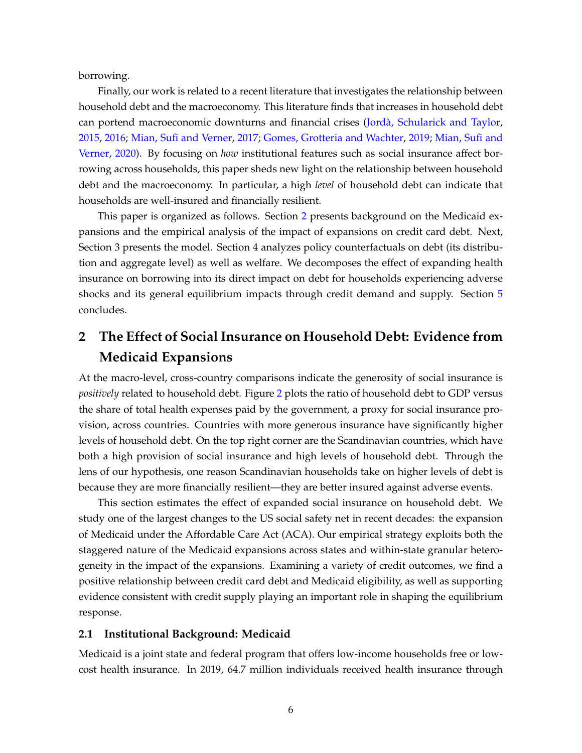borrowing.

Finally, our work is related to a recent literature that investigates the relationship between household debt and the macroeconomy. This literature finds that increases in household debt can portend macroeconomic downturns and financial crises [\(Jordà, Schularick and Taylor,](#page-31-5) [2015,](#page-31-5) [2016;](#page-31-6) [Mian, Sufi and Verner,](#page-31-7) [2017;](#page-31-7) [Gomes, Grotteria and Wachter,](#page-30-11) [2019;](#page-30-11) [Mian, Sufi and](#page-31-8) [Verner,](#page-31-8) [2020\)](#page-31-8). By focusing on *how* institutional features such as social insurance affect borrowing across households, this paper sheds new light on the relationship between household debt and the macroeconomy. In particular, a high *level* of household debt can indicate that households are well-insured and financially resilient.

This paper is organized as follows. Section [2](#page-6-0) presents background on the Medicaid expansions and the empirical analysis of the impact of expansions on credit card debt. Next, Section 3 presents the model. Section 4 analyzes policy counterfactuals on debt (its distribution and aggregate level) as well as welfare. We decomposes the effect of expanding health insurance on borrowing into its direct impact on debt for households experiencing adverse shocks and its general equilibrium impacts through credit demand and supply. Section [5](#page-28-0) concludes.

# <span id="page-6-0"></span>**2 The Effect of Social Insurance on Household Debt: Evidence from Medicaid Expansions**

At the macro-level, cross-country comparisons indicate the generosity of social insurance is *positively* related to household debt. Figure [2](#page-7-0) plots the ratio of household debt to GDP versus the share of total health expenses paid by the government, a proxy for social insurance provision, across countries. Countries with more generous insurance have significantly higher levels of household debt. On the top right corner are the Scandinavian countries, which have both a high provision of social insurance and high levels of household debt. Through the lens of our hypothesis, one reason Scandinavian households take on higher levels of debt is because they are more financially resilient—they are better insured against adverse events.

This section estimates the effect of expanded social insurance on household debt. We study one of the largest changes to the US social safety net in recent decades: the expansion of Medicaid under the Affordable Care Act (ACA). Our empirical strategy exploits both the staggered nature of the Medicaid expansions across states and within-state granular heterogeneity in the impact of the expansions. Examining a variety of credit outcomes, we find a positive relationship between credit card debt and Medicaid eligibility, as well as supporting evidence consistent with credit supply playing an important role in shaping the equilibrium response.

### **2.1 Institutional Background: Medicaid**

Medicaid is a joint state and federal program that offers low-income households free or lowcost health insurance. In 2019, 64.7 million individuals received health insurance through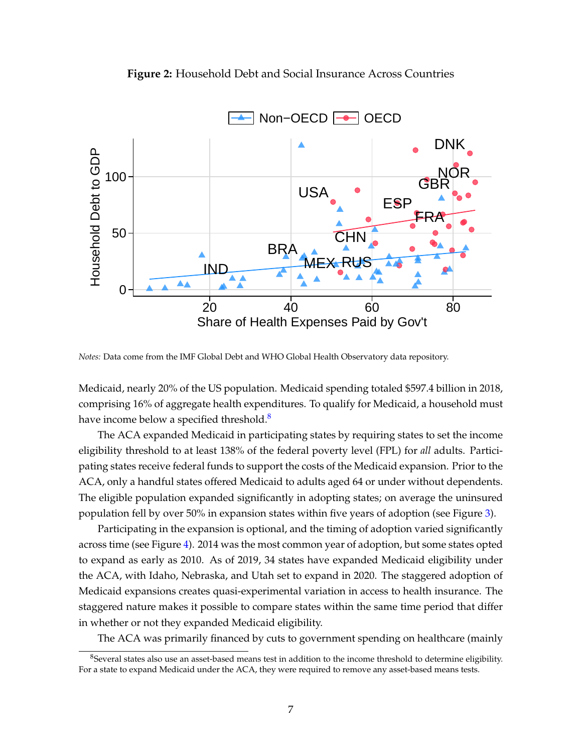<span id="page-7-0"></span>



*Notes:* Data come from the IMF Global Debt and WHO Global Health Observatory data repository.

Medicaid, nearly 20% of the US population. Medicaid spending totaled \$597.4 billion in 2018, comprising 16% of aggregate health expenditures. To qualify for Medicaid, a household must have income below a specified threshold.<sup>[8](#page-7-1)</sup>

The ACA expanded Medicaid in participating states by requiring states to set the income eligibility threshold to at least 138% of the federal poverty level (FPL) for *all* adults. Participating states receive federal funds to support the costs of the Medicaid expansion. Prior to the ACA, only a handful states offered Medicaid to adults aged 64 or under without dependents. The eligible population expanded significantly in adopting states; on average the uninsured population fell by over 50% in expansion states within five years of adoption (see Figure [3\)](#page-8-0).

Participating in the expansion is optional, and the timing of adoption varied significantly across time (see Figure [4\)](#page-8-1). 2014 was the most common year of adoption, but some states opted to expand as early as 2010. As of 2019, 34 states have expanded Medicaid eligibility under the ACA, with Idaho, Nebraska, and Utah set to expand in 2020. The staggered adoption of Medicaid expansions creates quasi-experimental variation in access to health insurance. The staggered nature makes it possible to compare states within the same time period that differ in whether or not they expanded Medicaid eligibility.

The ACA was primarily financed by cuts to government spending on healthcare (mainly

<span id="page-7-1"></span><sup>&</sup>lt;sup>8</sup>Several states also use an asset-based means test in addition to the income threshold to determine eligibility. For a state to expand Medicaid under the ACA, they were required to remove any asset-based means tests.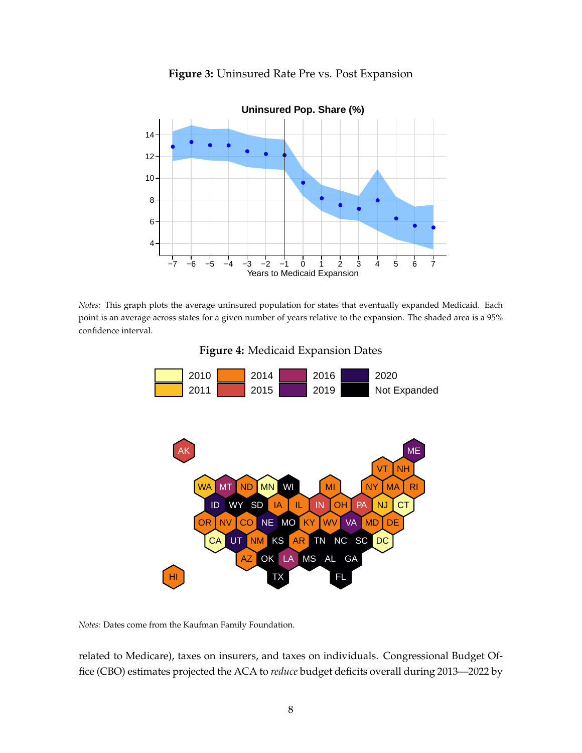<span id="page-8-0"></span>

**Figure 3:** Uninsured Rate Pre vs. Post Expansion

<span id="page-8-1"></span>*Notes:* This graph plots the average uninsured population for states that eventually expanded Medicaid. Each point is an average across states for a given number of years relative to the expansion. The shaded area is a 95% confidence interval.





*Notes:* Dates come from the Kaufman Family Foundation.

related to Medicare), taxes on insurers, and taxes on individuals. Congressional Budget Office (CBO) estimates projected the ACA to *reduce* budget deficits overall during 2013—2022 by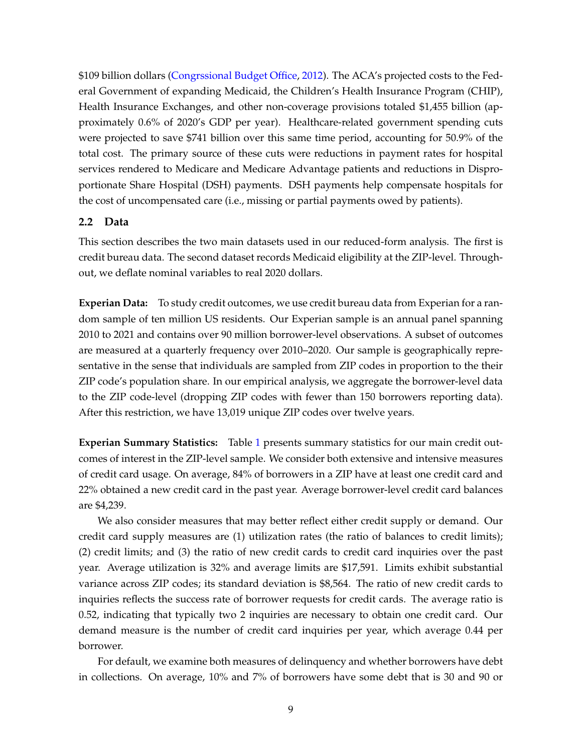\$109 billion dollars [\(Congrssional Budget Office,](#page-29-7) [2012\)](#page-29-7). The ACA's projected costs to the Federal Government of expanding Medicaid, the Children's Health Insurance Program (CHIP), Health Insurance Exchanges, and other non-coverage provisions totaled \$1,455 billion (approximately 0.6% of 2020's GDP per year). Healthcare-related government spending cuts were projected to save \$741 billion over this same time period, accounting for 50.9% of the total cost. The primary source of these cuts were reductions in payment rates for hospital services rendered to Medicare and Medicare Advantage patients and reductions in Disproportionate Share Hospital (DSH) payments. DSH payments help compensate hospitals for the cost of uncompensated care (i.e., missing or partial payments owed by patients).

## **2.2 Data**

This section describes the two main datasets used in our reduced-form analysis. The first is credit bureau data. The second dataset records Medicaid eligibility at the ZIP-level. Throughout, we deflate nominal variables to real 2020 dollars.

**Experian Data:** To study credit outcomes, we use credit bureau data from Experian for a random sample of ten million US residents. Our Experian sample is an annual panel spanning 2010 to 2021 and contains over 90 million borrower-level observations. A subset of outcomes are measured at a quarterly frequency over 2010–2020. Our sample is geographically representative in the sense that individuals are sampled from ZIP codes in proportion to the their ZIP code's population share. In our empirical analysis, we aggregate the borrower-level data to the ZIP code-level (dropping ZIP codes with fewer than 150 borrowers reporting data). After this restriction, we have 13,019 unique ZIP codes over twelve years.

**Experian Summary Statistics:** Table [1](#page-10-0) presents summary statistics for our main credit outcomes of interest in the ZIP-level sample. We consider both extensive and intensive measures of credit card usage. On average, 84% of borrowers in a ZIP have at least one credit card and 22% obtained a new credit card in the past year. Average borrower-level credit card balances are \$4,239.

We also consider measures that may better reflect either credit supply or demand. Our credit card supply measures are (1) utilization rates (the ratio of balances to credit limits); (2) credit limits; and (3) the ratio of new credit cards to credit card inquiries over the past year. Average utilization is 32% and average limits are \$17,591. Limits exhibit substantial variance across ZIP codes; its standard deviation is \$8,564. The ratio of new credit cards to inquiries reflects the success rate of borrower requests for credit cards. The average ratio is 0.52, indicating that typically two 2 inquiries are necessary to obtain one credit card. Our demand measure is the number of credit card inquiries per year, which average 0.44 per borrower.

For default, we examine both measures of delinquency and whether borrowers have debt in collections. On average, 10% and 7% of borrowers have some debt that is 30 and 90 or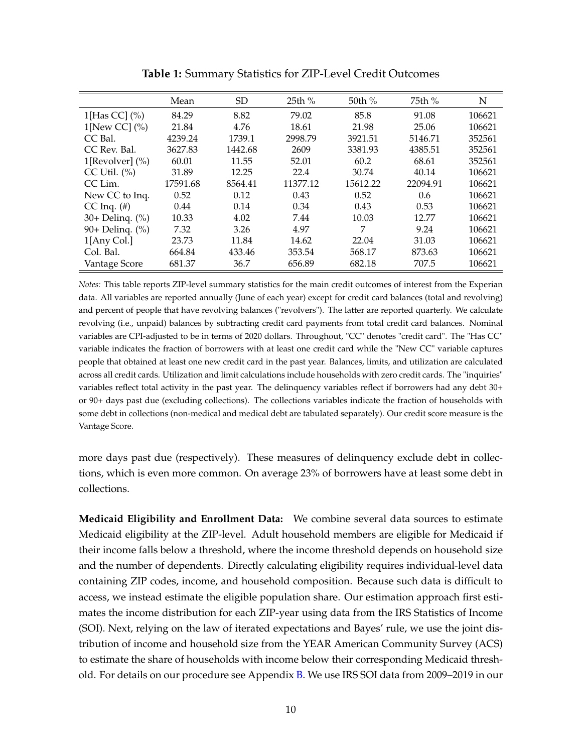<span id="page-10-0"></span>

|                              | Mean     | <b>SD</b> | 25th %   | 50th %   | 75th %   | N      |
|------------------------------|----------|-----------|----------|----------|----------|--------|
| 1[Has CC] $(\% )$            | 84.29    | 8.82      | 79.02    | 85.8     | 91.08    | 106621 |
| 1[New CC] $\left(\% \right)$ | 21.84    | 4.76      | 18.61    | 21.98    | 25.06    | 106621 |
| CC Bal.                      | 4239.24  | 1739.1    | 2998.79  | 3921.51  | 5146.71  | 352561 |
| CC Rev. Bal.                 | 3627.83  | 1442.68   | 2609     | 3381.93  | 4385.51  | 352561 |
| 1[Revolver] $(\%)$           | 60.01    | 11.55     | 52.01    | 60.2     | 68.61    | 352561 |
| CC Util. $(\% )$             | 31.89    | 12.25     | 22.4     | 30.74    | 40.14    | 106621 |
| CC Lim.                      | 17591.68 | 8564.41   | 11377.12 | 15612.22 | 22094.91 | 106621 |
| New CC to Inq.               | 0.52     | 0.12      | 0.43     | 0.52     | 0.6      | 106621 |
| $CC$ Inq. $(\#)$             | 0.44     | 0.14      | 0.34     | 0.43     | 0.53     | 106621 |
| 30+ Deling. (%)              | 10.33    | 4.02      | 7.44     | 10.03    | 12.77    | 106621 |
| 90+ Delinq. (%)              | 7.32     | 3.26      | 4.97     | 7        | 9.24     | 106621 |
| $1$ [Any Col.]               | 23.73    | 11.84     | 14.62    | 22.04    | 31.03    | 106621 |
| Col. Bal.                    | 664.84   | 433.46    | 353.54   | 568.17   | 873.63   | 106621 |
| Vantage Score                | 681.37   | 36.7      | 656.89   | 682.18   | 707.5    | 106621 |

**Table 1:** Summary Statistics for ZIP-Level Credit Outcomes

*Notes:* This table reports ZIP-level summary statistics for the main credit outcomes of interest from the Experian data. All variables are reported annually (June of each year) except for credit card balances (total and revolving) and percent of people that have revolving balances ("revolvers"). The latter are reported quarterly. We calculate revolving (i.e., unpaid) balances by subtracting credit card payments from total credit card balances. Nominal variables are CPI-adjusted to be in terms of 2020 dollars. Throughout, "CC" denotes "credit card". The "Has CC" variable indicates the fraction of borrowers with at least one credit card while the "New CC" variable captures people that obtained at least one new credit card in the past year. Balances, limits, and utilization are calculated across all credit cards. Utilization and limit calculations include households with zero credit cards. The "inquiries" variables reflect total activity in the past year. The delinquency variables reflect if borrowers had any debt 30+ or 90+ days past due (excluding collections). The collections variables indicate the fraction of households with some debt in collections (non-medical and medical debt are tabulated separately). Our credit score measure is the Vantage Score.

more days past due (respectively). These measures of delinquency exclude debt in collections, which is even more common. On average 23% of borrowers have at least some debt in collections.

**Medicaid Eligibility and Enrollment Data:** We combine several data sources to estimate Medicaid eligibility at the ZIP-level. Adult household members are eligible for Medicaid if their income falls below a threshold, where the income threshold depends on household size and the number of dependents. Directly calculating eligibility requires individual-level data containing ZIP codes, income, and household composition. Because such data is difficult to access, we instead estimate the eligible population share. Our estimation approach first estimates the income distribution for each ZIP-year using data from the IRS Statistics of Income (SOI). Next, relying on the law of iterated expectations and Bayes' rule, we use the joint distribution of income and household size from the YEAR American Community Survey (ACS) to estimate the share of households with income below their corresponding Medicaid threshold. For details on our procedure see Appendix [B.](#page-32-0) We use IRS SOI data from 2009–2019 in our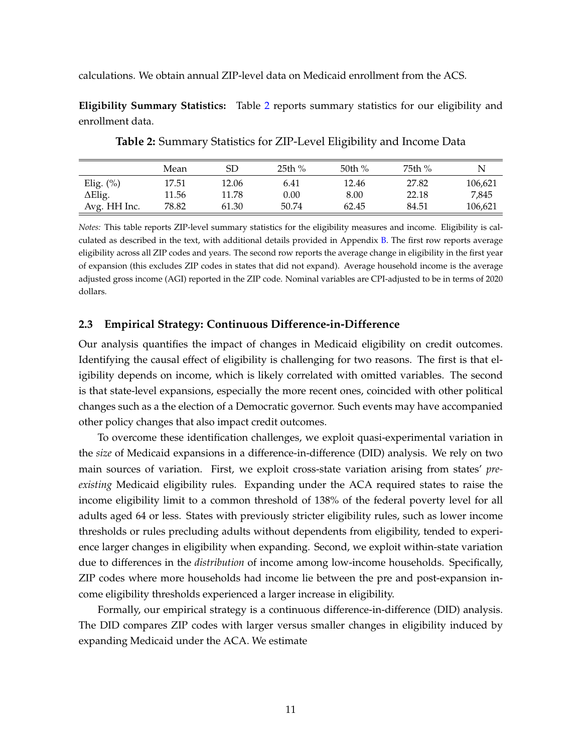calculations. We obtain annual ZIP-level data on Medicaid enrollment from the ACS.

<span id="page-11-0"></span>**Eligibility Summary Statistics:** Table [2](#page-11-0) reports summary statistics for our eligibility and enrollment data.

|                | Mean  | SD    | 25th % | 50th $%$ | 75th % |         |
|----------------|-------|-------|--------|----------|--------|---------|
| Elig. $(\%)$   | 17.51 | 12.06 | 6.41   | 12.46    | 27.82  | 106,621 |
| $\Delta$ Elig. | 11.56 | 11.78 | 0.00   | 8.00     | 22.18  | 7,845   |
| Avg. HH Inc.   | 78.82 | 61.30 | 50.74  | 62.45    | 84.51  | 106,621 |

**Table 2:** Summary Statistics for ZIP-Level Eligibility and Income Data

*Notes:* This table reports ZIP-level summary statistics for the eligibility measures and income. Eligibility is calculated as described in the text, with additional details provided in Appendix [B.](#page-32-0) The first row reports average eligibility across all ZIP codes and years. The second row reports the average change in eligibility in the first year of expansion (this excludes ZIP codes in states that did not expand). Average household income is the average adjusted gross income (AGI) reported in the ZIP code. Nominal variables are CPI-adjusted to be in terms of 2020 dollars.

## **2.3 Empirical Strategy: Continuous Difference-in-Difference**

Our analysis quantifies the impact of changes in Medicaid eligibility on credit outcomes. Identifying the causal effect of eligibility is challenging for two reasons. The first is that eligibility depends on income, which is likely correlated with omitted variables. The second is that state-level expansions, especially the more recent ones, coincided with other political changes such as a the election of a Democratic governor. Such events may have accompanied other policy changes that also impact credit outcomes.

To overcome these identification challenges, we exploit quasi-experimental variation in the *size* of Medicaid expansions in a difference-in-difference (DID) analysis. We rely on two main sources of variation. First, we exploit cross-state variation arising from states' *preexisting* Medicaid eligibility rules. Expanding under the ACA required states to raise the income eligibility limit to a common threshold of 138% of the federal poverty level for all adults aged 64 or less. States with previously stricter eligibility rules, such as lower income thresholds or rules precluding adults without dependents from eligibility, tended to experience larger changes in eligibility when expanding. Second, we exploit within-state variation due to differences in the *distribution* of income among low-income households. Specifically, ZIP codes where more households had income lie between the pre and post-expansion income eligibility thresholds experienced a larger increase in eligibility.

Formally, our empirical strategy is a continuous difference-in-difference (DID) analysis. The DID compares ZIP codes with larger versus smaller changes in eligibility induced by expanding Medicaid under the ACA. We estimate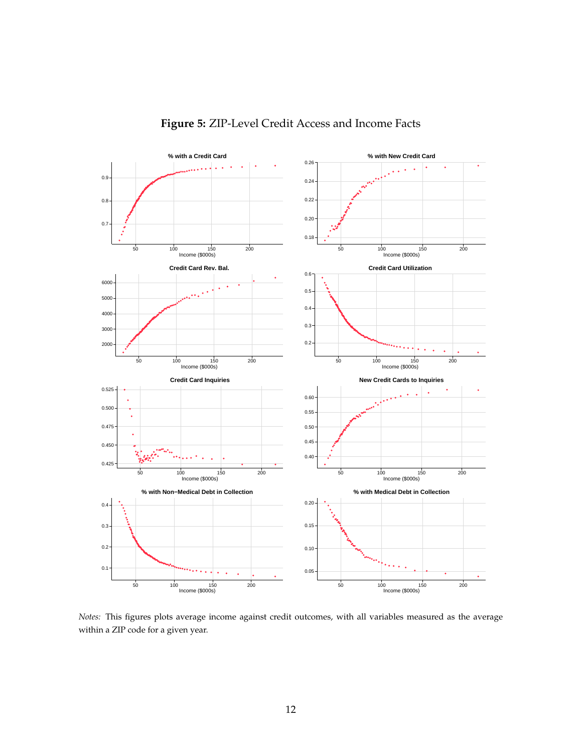

## **Figure 5:** ZIP-Level Credit Access and Income Facts

*Notes:* This figures plots average income against credit outcomes, with all variables measured as the average within a ZIP code for a given year.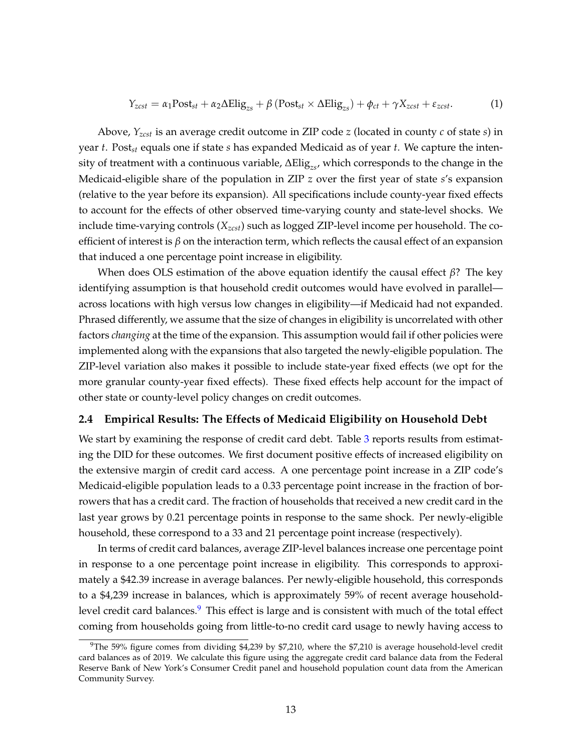<span id="page-13-1"></span>
$$
Y_{zcst} = \alpha_1 \text{Post}_{st} + \alpha_2 \Delta \text{Elig}_{zs} + \beta \left( \text{Post}_{st} \times \Delta \text{Elig}_{zs} \right) + \phi_{ct} + \gamma X_{zcst} + \varepsilon_{zcst}.
$$
 (1)

Above, *Yzcst* is an average credit outcome in ZIP code *z* (located in county *c* of state *s*) in year *t*. Post*st* equals one if state *s* has expanded Medicaid as of year *t*. We capture the intensity of treatment with a continuous variable, ∆Elig*zs*, which corresponds to the change in the Medicaid-eligible share of the population in ZIP *z* over the first year of state *s*'s expansion (relative to the year before its expansion). All specifications include county-year fixed effects to account for the effects of other observed time-varying county and state-level shocks. We include time-varying controls (*Xzcst*) such as logged ZIP-level income per household. The coefficient of interest is  $\beta$  on the interaction term, which reflects the causal effect of an expansion that induced a one percentage point increase in eligibility.

When does OLS estimation of the above equation identify the causal effect *β*? The key identifying assumption is that household credit outcomes would have evolved in parallel across locations with high versus low changes in eligibility—if Medicaid had not expanded. Phrased differently, we assume that the size of changes in eligibility is uncorrelated with other factors *changing* at the time of the expansion. This assumption would fail if other policies were implemented along with the expansions that also targeted the newly-eligible population. The ZIP-level variation also makes it possible to include state-year fixed effects (we opt for the more granular county-year fixed effects). These fixed effects help account for the impact of other state or county-level policy changes on credit outcomes.

## **2.4 Empirical Results: The Effects of Medicaid Eligibility on Household Debt**

We start by examining the response of credit card debt. Table [3](#page-14-0) reports results from estimating the DID for these outcomes. We first document positive effects of increased eligibility on the extensive margin of credit card access. A one percentage point increase in a ZIP code's Medicaid-eligible population leads to a 0.33 percentage point increase in the fraction of borrowers that has a credit card. The fraction of households that received a new credit card in the last year grows by 0.21 percentage points in response to the same shock. Per newly-eligible household, these correspond to a 33 and 21 percentage point increase (respectively).

In terms of credit card balances, average ZIP-level balances increase one percentage point in response to a one percentage point increase in eligibility. This corresponds to approximately a \$42.39 increase in average balances. Per newly-eligible household, this corresponds to a \$4,239 increase in balances, which is approximately 59% of recent average household-level credit card balances.<sup>[9](#page-13-0)</sup> This effect is large and is consistent with much of the total effect coming from households going from little-to-no credit card usage to newly having access to

<span id="page-13-0"></span> $9$ The 59% figure comes from dividing \$4,239 by \$7,210, where the \$7,210 is average household-level credit card balances as of 2019. We calculate this figure using the aggregate credit card balance data from the Federal Reserve Bank of New York's Consumer Credit panel and household population count data from the American Community Survey.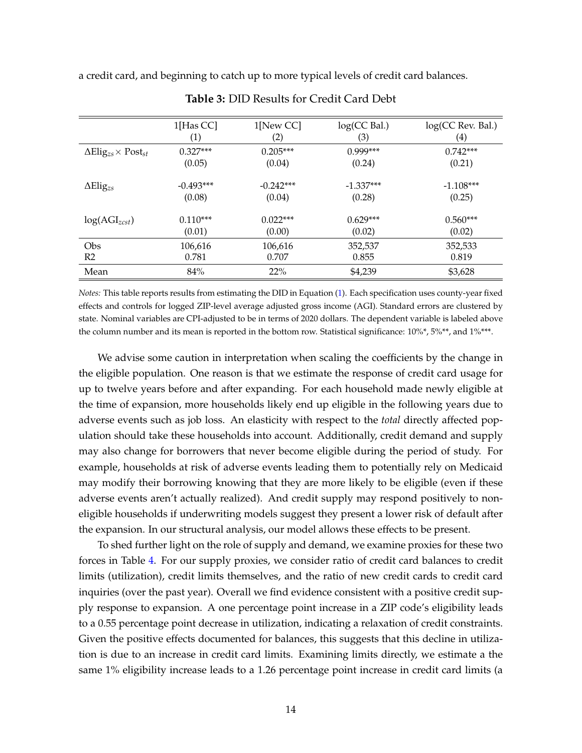<span id="page-14-0"></span>a credit card, and beginning to catch up to more typical levels of credit card balances.

|                                                         | $1$ [Has CC]      | $1$ [New CC] | log(CC Bal.) | log(CC Rev. Bal.) |
|---------------------------------------------------------|-------------------|--------------|--------------|-------------------|
|                                                         | $\left( 1\right)$ | (2)          | (3)          | $\left( 4\right)$ |
| $\Delta$ Elig <sub>zs</sub> $\times$ Post <sub>st</sub> | $0.327***$        | $0.205***$   | $0.999***$   | $0.742***$        |
|                                                         | (0.05)            | (0.04)       | (0.24)       | (0.21)            |
| $\Delta \text{Elig}_{zs}$                               | $-0.493***$       | $-0.242***$  | $-1.337***$  | $-1.108***$       |
|                                                         | (0.08)            | (0.04)       | (0.28)       | (0.25)            |
| $log(AGI_{zcst})$                                       | $0.110***$        | $0.022***$   | $0.629***$   | $0.560***$        |
|                                                         | (0.01)            | (0.00)       | (0.02)       | (0.02)            |
| Obs                                                     | 106,616           | 106,616      | 352,537      | 352,533           |
| R2                                                      | 0.781             | 0.707        | 0.855        | 0.819             |
| Mean                                                    | 84%               | 22%          | \$4,239      | \$3,628           |

**Table 3:** DID Results for Credit Card Debt

*Notes:* This table reports results from estimating the DID in Equation [\(1\)](#page-13-1). Each specification uses county-year fixed effects and controls for logged ZIP-level average adjusted gross income (AGI). Standard errors are clustered by state. Nominal variables are CPI-adjusted to be in terms of 2020 dollars. The dependent variable is labeled above the column number and its mean is reported in the bottom row. Statistical significance: 10%\*, 5%\*\*, and 1%\*\*\*.

We advise some caution in interpretation when scaling the coefficients by the change in the eligible population. One reason is that we estimate the response of credit card usage for up to twelve years before and after expanding. For each household made newly eligible at the time of expansion, more households likely end up eligible in the following years due to adverse events such as job loss. An elasticity with respect to the *total* directly affected population should take these households into account. Additionally, credit demand and supply may also change for borrowers that never become eligible during the period of study. For example, households at risk of adverse events leading them to potentially rely on Medicaid may modify their borrowing knowing that they are more likely to be eligible (even if these adverse events aren't actually realized). And credit supply may respond positively to noneligible households if underwriting models suggest they present a lower risk of default after the expansion. In our structural analysis, our model allows these effects to be present.

To shed further light on the role of supply and demand, we examine proxies for these two forces in Table [4.](#page-15-0) For our supply proxies, we consider ratio of credit card balances to credit limits (utilization), credit limits themselves, and the ratio of new credit cards to credit card inquiries (over the past year). Overall we find evidence consistent with a positive credit supply response to expansion. A one percentage point increase in a ZIP code's eligibility leads to a 0.55 percentage point decrease in utilization, indicating a relaxation of credit constraints. Given the positive effects documented for balances, this suggests that this decline in utilization is due to an increase in credit card limits. Examining limits directly, we estimate a the same 1% eligibility increase leads to a 1.26 percentage point increase in credit card limits (a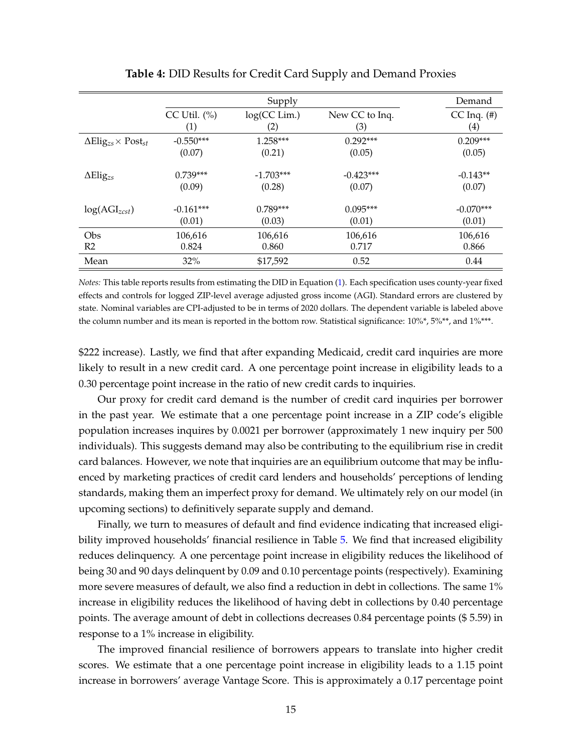<span id="page-15-0"></span>

|                                                         |                  |              | Demand         |                  |
|---------------------------------------------------------|------------------|--------------|----------------|------------------|
|                                                         | CC Util. $(\% )$ | log(CC Lim.) | New CC to Inq. | $CC$ Inq. $(\#)$ |
|                                                         | (1)              | (2)          | (3)            | (4)              |
| $\Delta$ Elig <sub>zs</sub> $\times$ Post <sub>st</sub> | $-0.550***$      | $1.258***$   | $0.292***$     | $0.209***$       |
|                                                         | (0.07)           | (0.21)       | (0.05)         | (0.05)           |
|                                                         |                  |              |                |                  |
| $\Delta$ Elig <sub>zs</sub>                             | $0.739***$       | $-1.703***$  | $-0.423***$    | $-0.143**$       |
|                                                         | (0.09)           | (0.28)       | (0.07)         | (0.07)           |
|                                                         | $-0.161***$      | $0.789***$   | $0.095***$     | $-0.070***$      |
| $log(AGI_{zcst})$                                       |                  |              |                |                  |
|                                                         | (0.01)           | (0.03)       | (0.01)         | (0.01)           |
| Obs                                                     | 106,616          | 106,616      | 106,616        | 106,616          |
| R <sub>2</sub>                                          | 0.824            | 0.860        | 0.717          | 0.866            |
| Mean                                                    | 32%              | \$17,592     | 0.52           | 0.44             |

**Table 4:** DID Results for Credit Card Supply and Demand Proxies

*Notes:* This table reports results from estimating the DID in Equation [\(1\)](#page-13-1). Each specification uses county-year fixed effects and controls for logged ZIP-level average adjusted gross income (AGI). Standard errors are clustered by state. Nominal variables are CPI-adjusted to be in terms of 2020 dollars. The dependent variable is labeled above the column number and its mean is reported in the bottom row. Statistical significance: 10%\*, 5%\*\*, and 1%\*\*\*.

\$222 increase). Lastly, we find that after expanding Medicaid, credit card inquiries are more likely to result in a new credit card. A one percentage point increase in eligibility leads to a 0.30 percentage point increase in the ratio of new credit cards to inquiries.

Our proxy for credit card demand is the number of credit card inquiries per borrower in the past year. We estimate that a one percentage point increase in a ZIP code's eligible population increases inquires by 0.0021 per borrower (approximately 1 new inquiry per 500 individuals). This suggests demand may also be contributing to the equilibrium rise in credit card balances. However, we note that inquiries are an equilibrium outcome that may be influenced by marketing practices of credit card lenders and households' perceptions of lending standards, making them an imperfect proxy for demand. We ultimately rely on our model (in upcoming sections) to definitively separate supply and demand.

Finally, we turn to measures of default and find evidence indicating that increased eligibility improved households' financial resilience in Table [5.](#page-16-0) We find that increased eligibility reduces delinquency. A one percentage point increase in eligibility reduces the likelihood of being 30 and 90 days delinquent by 0.09 and 0.10 percentage points (respectively). Examining more severe measures of default, we also find a reduction in debt in collections. The same 1% increase in eligibility reduces the likelihood of having debt in collections by 0.40 percentage points. The average amount of debt in collections decreases 0.84 percentage points (\$ 5.59) in response to a 1% increase in eligibility.

The improved financial resilience of borrowers appears to translate into higher credit scores. We estimate that a one percentage point increase in eligibility leads to a 1.15 point increase in borrowers' average Vantage Score. This is approximately a 0.17 percentage point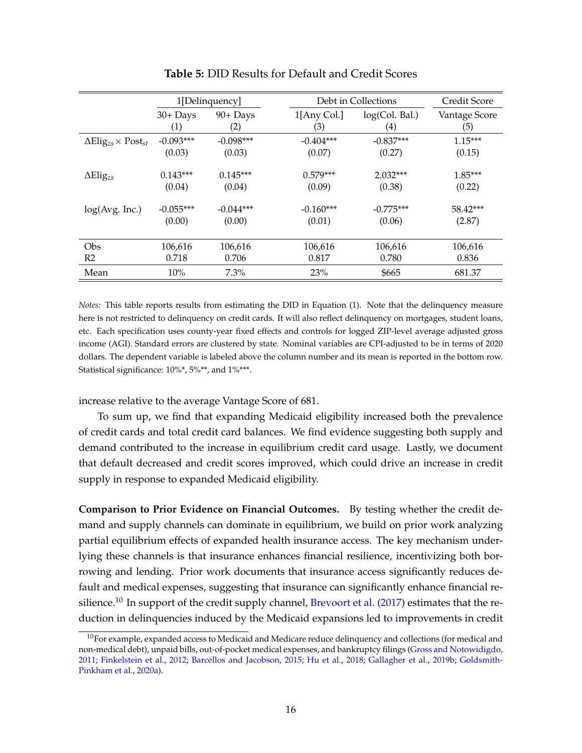<span id="page-16-0"></span>

|                                                         |             | 1[Delinquency] |             | Debt in Collections | Credit Score  |
|---------------------------------------------------------|-------------|----------------|-------------|---------------------|---------------|
|                                                         | $30 +$ Days | $90+$ Days     | 1[Any Col.] | log(Col. Bal.)      | Vantage Score |
|                                                         | (1)         | (2)            | (3)         | $\left( 4\right)$   | (5)           |
| $\Delta$ Elig <sub>zs</sub> $\times$ Post <sub>st</sub> | $-0.093***$ | $-0.098***$    | $-0.404***$ | $-0.837***$         | $1.15***$     |
|                                                         | (0.03)      | (0.03)         | (0.07)      | (0.27)              | (0.15)        |
| $\Delta$ Elig <sub>zs</sub>                             | $0.143***$  | $0.145***$     | $0.579***$  | $2.032***$          | $1.85***$     |
|                                                         | (0.04)      | (0.04)         | (0.09)      | (0.38)              | (0.22)        |
| log(Avg. Inc.)                                          | $-0.055***$ | $-0.044***$    | $-0.160***$ | $-0.775***$         | 58.42***      |
|                                                         | (0.00)      | (0.00)         | (0.01)      | (0.06)              | (2.87)        |
| Obs                                                     | 106,616     | 106,616        | 106,616     | 106,616             | 106,616       |
| R <sub>2</sub>                                          | 0.718       | 0.706          | 0.817       | 0.780               | 0.836         |
| Mean                                                    | 10%         | $7.3\%$        | 23%         | \$665               | 681.37        |

**Table 5:** DID Results for Default and Credit Scores

*Notes:* This table reports results from estimating the DID in Equation [\(1\)](#page-13-1). Note that the delinquency measure here is not restricted to delinquency on credit cards. It will also reflect delinquency on mortgages, student loans, etc. Each specification uses county-year fixed effects and controls for logged ZIP-level average adjusted gross income (AGI). Standard errors are clustered by state. Nominal variables are CPI-adjusted to be in terms of 2020 dollars. The dependent variable is labeled above the column number and its mean is reported in the bottom row. Statistical significance: 10%\*, 5%\*\*, and 1%\*\*\*.

increase relative to the average Vantage Score of 681.

To sum up, we find that expanding Medicaid eligibility increased both the prevalence of credit cards and total credit card balances. We find evidence suggesting both supply and demand contributed to the increase in equilibrium credit card usage. Lastly, we document that default decreased and credit scores improved, which could drive an increase in credit supply in response to expanded Medicaid eligibility.

**Comparison to Prior Evidence on Financial Outcomes.** By testing whether the credit demand and supply channels can dominate in equilibrium, we build on prior work analyzing partial equilibrium effects of expanded health insurance access. The key mechanism underlying these channels is that insurance enhances financial resilience, incentivizing both borrowing and lending. Prior work documents that insurance access significantly reduces default and medical expenses, suggesting that insurance can significantly enhance financial re-silience.<sup>[10](#page-16-1)</sup> In support of the credit supply channel, [Brevoort et al.](#page-29-3) [\(2017\)](#page-29-3) estimates that the reduction in delinquencies induced by the Medicaid expansions led to improvements in credit

<span id="page-16-1"></span> $10$ For example, expanded access to Medicaid and Medicare reduce delinquency and collections (for medical and non-medical debt), unpaid bills, out-of-pocket medical expenses, and bankruptcy filings [\(Gross and Notowidigdo,](#page-30-0) [2011;](#page-30-0) [Finkelstein et al.,](#page-30-12) [2012;](#page-30-12) [Barcellos and Jacobson,](#page-29-8) [2015;](#page-29-8) [Hu et al.,](#page-30-2) [2018;](#page-30-2) [Gallagher et al.,](#page-30-1) [2019b;](#page-30-1) [Goldsmith-](#page-30-13)[Pinkham et al.,](#page-30-13) [2020a\)](#page-30-13).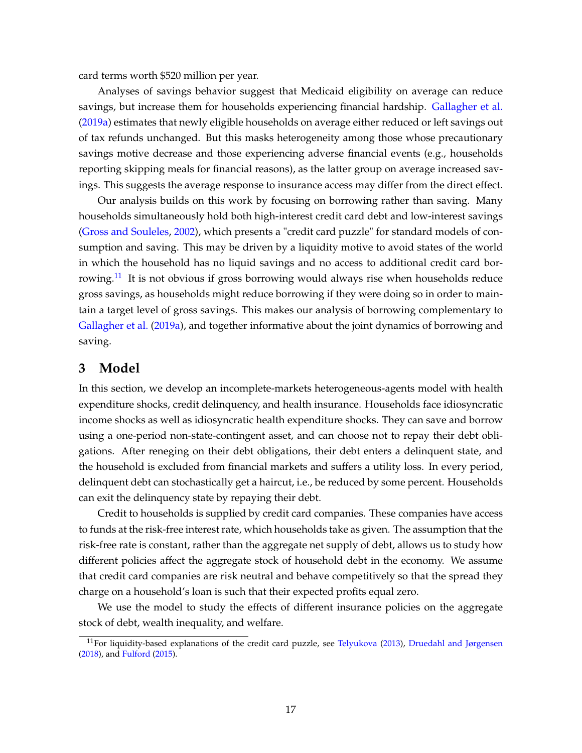card terms worth \$520 million per year.

Analyses of savings behavior suggest that Medicaid eligibility on average can reduce savings, but increase them for households experiencing financial hardship. [Gallagher et al.](#page-30-4) [\(2019a\)](#page-30-4) estimates that newly eligible households on average either reduced or left savings out of tax refunds unchanged. But this masks heterogeneity among those whose precautionary savings motive decrease and those experiencing adverse financial events (e.g., households reporting skipping meals for financial reasons), as the latter group on average increased savings. This suggests the average response to insurance access may differ from the direct effect.

Our analysis builds on this work by focusing on borrowing rather than saving. Many households simultaneously hold both high-interest credit card debt and low-interest savings [\(Gross and Souleles,](#page-30-9) [2002\)](#page-30-9), which presents a "credit card puzzle" for standard models of consumption and saving. This may be driven by a liquidity motive to avoid states of the world in which the household has no liquid savings and no access to additional credit card bor-rowing.<sup>[11](#page-17-0)</sup> It is not obvious if gross borrowing would always rise when households reduce gross savings, as households might reduce borrowing if they were doing so in order to maintain a target level of gross savings. This makes our analysis of borrowing complementary to [Gallagher et al.](#page-30-4) [\(2019a\)](#page-30-4), and together informative about the joint dynamics of borrowing and saving.

## **3 Model**

In this section, we develop an incomplete-markets heterogeneous-agents model with health expenditure shocks, credit delinquency, and health insurance. Households face idiosyncratic income shocks as well as idiosyncratic health expenditure shocks. They can save and borrow using a one-period non-state-contingent asset, and can choose not to repay their debt obligations. After reneging on their debt obligations, their debt enters a delinquent state, and the household is excluded from financial markets and suffers a utility loss. In every period, delinquent debt can stochastically get a haircut, i.e., be reduced by some percent. Households can exit the delinquency state by repaying their debt.

Credit to households is supplied by credit card companies. These companies have access to funds at the risk-free interest rate, which households take as given. The assumption that the risk-free rate is constant, rather than the aggregate net supply of debt, allows us to study how different policies affect the aggregate stock of household debt in the economy. We assume that credit card companies are risk neutral and behave competitively so that the spread they charge on a household's loan is such that their expected profits equal zero.

We use the model to study the effects of different insurance policies on the aggregate stock of debt, wealth inequality, and welfare.

<span id="page-17-0"></span><sup>&</sup>lt;sup>11</sup>For liquidity-based explanations of the credit card puzzle, see [Telyukova](#page-31-4) [\(2013\)](#page-31-4), [Druedahl and Jørgensen](#page-30-10) [\(2018\)](#page-30-10), and [Fulford](#page-30-14) [\(2015\)](#page-30-14).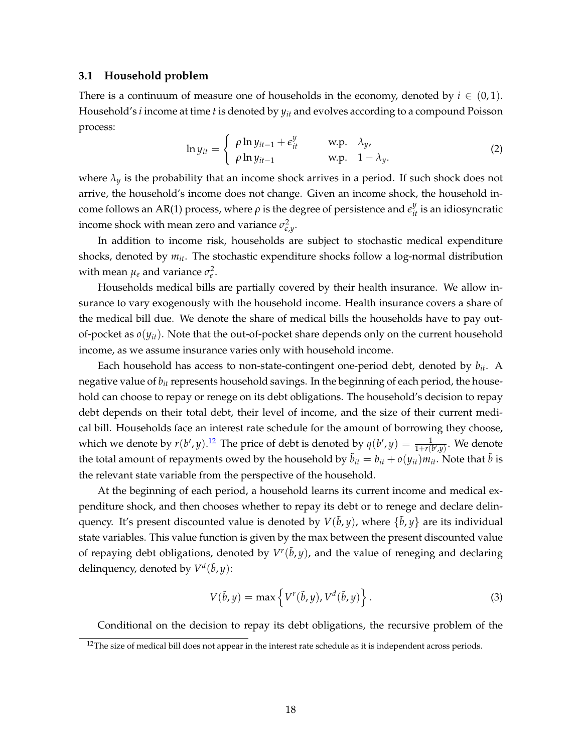#### **3.1 Household problem**

There is a continuum of measure one of households in the economy, denoted by  $i \in (0,1)$ . Household's *i* income at time *t* is denoted by *yit* and evolves according to a compound Poisson process:

$$
\ln y_{it} = \begin{cases} \rho \ln y_{it-1} + \epsilon_{it}^{y} & \text{w.p.} \quad \lambda_y, \\ \rho \ln y_{it-1} & \text{w.p.} \quad 1 - \lambda_y. \end{cases}
$$
 (2)

where  $\lambda_{\nu}$  is the probability that an income shock arrives in a period. If such shock does not arrive, the household's income does not change. Given an income shock, the household income follows an AR(1) process, where  $\rho$  is the degree of persistence and  $\epsilon_{it}^y$  is an idiosyncratic income shock with mean zero and variance  $\sigma_{\epsilon,y}^2$ .

In addition to income risk, households are subject to stochastic medical expenditure shocks, denoted by *mit*. The stochastic expenditure shocks follow a log-normal distribution with mean  $\mu_e$  and variance  $\sigma_e^2$ .

Households medical bills are partially covered by their health insurance. We allow insurance to vary exogenously with the household income. Health insurance covers a share of the medical bill due. We denote the share of medical bills the households have to pay outof-pocket as  $o(y_{it})$ . Note that the out-of-pocket share depends only on the current household income, as we assume insurance varies only with household income.

Each household has access to non-state-contingent one-period debt, denoted by *bit*. A negative value of *bit* represents household savings. In the beginning of each period, the household can choose to repay or renege on its debt obligations. The household's decision to repay debt depends on their total debt, their level of income, and the size of their current medical bill. Households face an interest rate schedule for the amount of borrowing they choose, which we denote by  $r(b', y)$ .<sup>[12](#page-18-0)</sup> The price of debt is denoted by  $q(b', y) = \frac{1}{1 + r(b', y)}$ . We denote the total amount of repayments owed by the household by  $\ddot{b}_{it} = b_{it} + o(y_{it})m_{it}$ . Note that  $\ddot{b}$  is the relevant state variable from the perspective of the household.

At the beginning of each period, a household learns its current income and medical expenditure shock, and then chooses whether to repay its debt or to renege and declare delinquency. It's present discounted value is denoted by  $V(\tilde{b}, y)$ , where  $\{\tilde{b}, y\}$  are its individual state variables. This value function is given by the max between the present discounted value of repaying debt obligations, denoted by  $V^r(\tilde{b}, y)$ , and the value of reneging and declaring delinquency, denoted by  $V^d(\tilde{b}, y)$ :

$$
V(\tilde{b}, y) = \max \left\{ V^r(\tilde{b}, y), V^d(\tilde{b}, y) \right\}.
$$
 (3)

Conditional on the decision to repay its debt obligations, the recursive problem of the

<span id="page-18-0"></span> $12$ The size of medical bill does not appear in the interest rate schedule as it is independent across periods.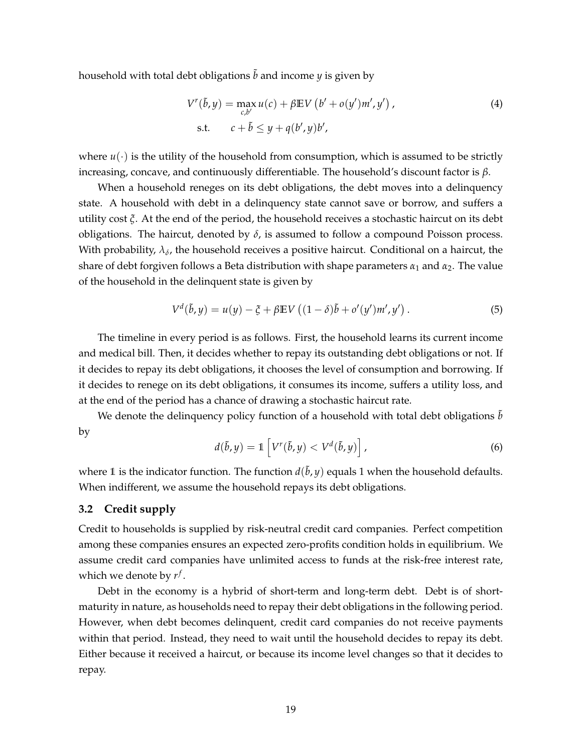household with total debt obligations  $\tilde{b}$  and income *y* is given by

$$
V^{r}(\tilde{b}, y) = \max_{c, b'} u(c) + \beta \mathbb{E} V(b' + o(y')m', y'),
$$
  
s.t. 
$$
c + \tilde{b} \leq y + q(b', y)b',
$$
 (4)

where  $u(\cdot)$  is the utility of the household from consumption, which is assumed to be strictly increasing, concave, and continuously differentiable. The household's discount factor is *β*.

When a household reneges on its debt obligations, the debt moves into a delinquency state. A household with debt in a delinquency state cannot save or borrow, and suffers a utility cost *ξ*. At the end of the period, the household receives a stochastic haircut on its debt obligations. The haircut, denoted by  $\delta$ , is assumed to follow a compound Poisson process. With probability,  $\lambda_\delta$ , the household receives a positive haircut. Conditional on a haircut, the share of debt forgiven follows a Beta distribution with shape parameters  $\alpha_1$  and  $\alpha_2$ . The value of the household in the delinquent state is given by

$$
V^{d}(\tilde{b}, y) = u(y) - \xi + \beta \mathbb{E} V ((1 - \delta)\tilde{b} + o'(y')m', y'). \tag{5}
$$

The timeline in every period is as follows. First, the household learns its current income and medical bill. Then, it decides whether to repay its outstanding debt obligations or not. If it decides to repay its debt obligations, it chooses the level of consumption and borrowing. If it decides to renege on its debt obligations, it consumes its income, suffers a utility loss, and at the end of the period has a chance of drawing a stochastic haircut rate.

We denote the delinquency policy function of a household with total debt obligations  $\bar{b}$ by

$$
d(\tilde{b}, y) = \mathbb{1}\left[V^r(\tilde{b}, y) < V^d(\tilde{b}, y)\right],\tag{6}
$$

where 1 is the indicator function. The function  $d(\tilde{b}, y)$  equals 1 when the household defaults. When indifferent, we assume the household repays its debt obligations.

## **3.2 Credit supply**

Credit to households is supplied by risk-neutral credit card companies. Perfect competition among these companies ensures an expected zero-profits condition holds in equilibrium. We assume credit card companies have unlimited access to funds at the risk-free interest rate, which we denote by  $r^f$ .

Debt in the economy is a hybrid of short-term and long-term debt. Debt is of shortmaturity in nature, as households need to repay their debt obligations in the following period. However, when debt becomes delinquent, credit card companies do not receive payments within that period. Instead, they need to wait until the household decides to repay its debt. Either because it received a haircut, or because its income level changes so that it decides to repay.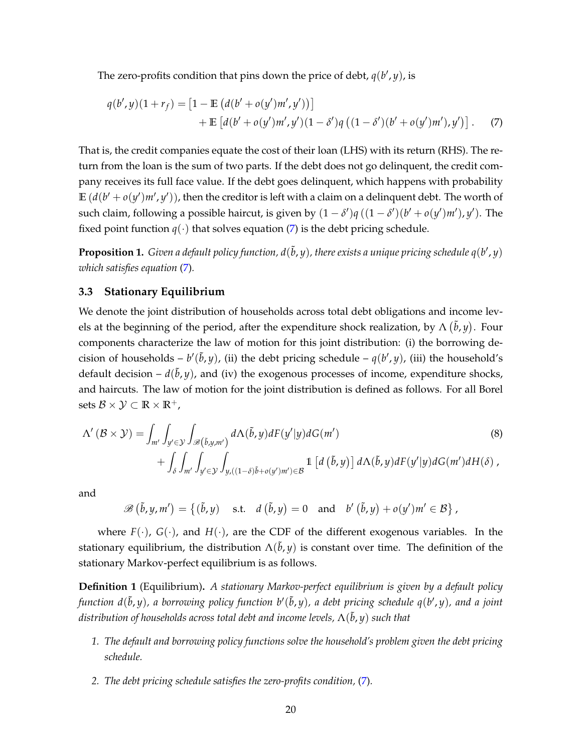The zero-profits condition that pins down the price of debt,  $q(b', y)$ , is

<span id="page-20-0"></span>
$$
q(b', y)(1 + r_f) = [1 - \mathbb{E} (d(b' + o(y')m', y'))]
$$
  
+ 
$$
\mathbb{E} [d(b' + o(y')m', y')(1 - \delta')q ((1 - \delta')(b' + o(y')m'), y')].
$$
 (7)

That is, the credit companies equate the cost of their loan (LHS) with its return (RHS). The return from the loan is the sum of two parts. If the debt does not go delinquent, the credit company receives its full face value. If the debt goes delinquent, which happens with probability  $\mathbb{E}$   $(d(b' + o(y')m', y'))$ , then the creditor is left with a claim on a delinquent debt. The worth of such claim, following a possible haircut, is given by  $(1 - \delta')q((1 - \delta')(b' + o(y')m'), y')$ . The fixed point function  $q(\cdot)$  that solves equation [\(7\)](#page-20-0) is the debt pricing schedule.

**Proposition 1.** Given a default policy function, d( $\tilde{b}$ ,  $y$ ), there exists a unique pricing schedule q(b', y) *which satisfies equation* [\(7\)](#page-20-0)*.*

#### **3.3 Stationary Equilibrium**

We denote the joint distribution of households across total debt obligations and income levels at the beginning of the period, after the expenditure shock realization, by  $\Lambda(\tilde{b}, y)$ . Four components characterize the law of motion for this joint distribution: (i) the borrowing decision of households –  $b'(\tilde{b}, y)$ , (ii) the debt pricing schedule –  $q(b', y)$ , (iii) the household's default decision  $-d(\tilde{b}, y)$ , and (iv) the exogenous processes of income, expenditure shocks, and haircuts. The law of motion for the joint distribution is defined as follows. For all Borel sets  $\mathcal{B} \times \mathcal{Y} \subset \mathbb{R} \times \mathbb{R}^+$ ,

$$
\Lambda'(\mathcal{B} \times \mathcal{Y}) = \int_{m'} \int_{y' \in \mathcal{Y}} \int_{\mathscr{B}(\tilde{b}, y, m')} d\Lambda(\tilde{b}, y) dF(y'|y) dG(m')
$$
\n
$$
+ \int_{\delta} \int_{m'} \int_{y' \in \mathcal{Y}} \int_{y, ((1-\delta)\tilde{b} + o(y')m') \in \mathcal{B}} \mathbb{1} \left[ d(\tilde{b}, y) \right] d\Lambda(\tilde{b}, y) dF(y'|y) dG(m') dH(\delta),
$$
\n(8)

and

 $\mathscr{B}(\tilde{b}, y, m') = \{(\tilde{b}, y) \text{ s.t. } d(\tilde{b}, y) = 0 \text{ and } b'(\tilde{b}, y) + o(y')m' \in \mathcal{B}\},\$ 

where  $F(\cdot)$ ,  $G(\cdot)$ , and  $H(\cdot)$ , are the CDF of the different exogenous variables. In the stationary equilibrium, the distribution  $\Lambda(\tilde{b}, y)$  is constant over time. The definition of the stationary Markov-perfect equilibrium is as follows.

**Definition 1** (Equilibrium)**.** *A stationary Markov-perfect equilibrium is given by a default policy* function  $d(\tilde{b},y)$ , a borrowing policy function  $b'(\tilde{b},y)$ , a debt pricing schedule  $q(b',y)$ , and a joint *distribution of households across total debt and income levels,* Λ( ˜*b*, *y*) *such that*

- *1. The default and borrowing policy functions solve the household's problem given the debt pricing schedule.*
- *2. The debt pricing schedule satisfies the zero-profits condition,* [\(7\)](#page-20-0)*.*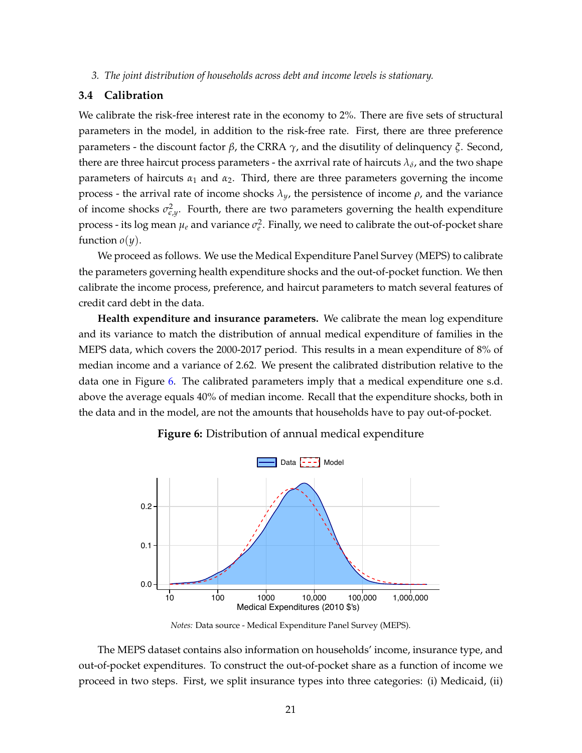*3. The joint distribution of households across debt and income levels is stationary.*

## **3.4 Calibration**

We calibrate the risk-free interest rate in the economy to 2%. There are five sets of structural parameters in the model, in addition to the risk-free rate. First, there are three preference parameters - the discount factor *β*, the CRRA *γ*, and the disutility of delinquency *ξ*. Second, there are three haircut process parameters - the axrrival rate of haircuts  $\lambda_\delta$ , and the two shape parameters of haircuts  $\alpha_1$  and  $\alpha_2$ . Third, there are three parameters governing the income process - the arrival rate of income shocks *λy*, the persistence of income *ρ*, and the variance of income shocks  $\sigma_{\epsilon,y}^2$ . Fourth, there are two parameters governing the health expenditure process - its log mean  $\mu_e$  and variance  $\sigma_e^2$ . Finally, we need to calibrate the out-of-pocket share function  $o(y)$ .

We proceed as follows. We use the Medical Expenditure Panel Survey (MEPS) to calibrate the parameters governing health expenditure shocks and the out-of-pocket function. We then calibrate the income process, preference, and haircut parameters to match several features of credit card debt in the data.

**Health expenditure and insurance parameters.** We calibrate the mean log expenditure and its variance to match the distribution of annual medical expenditure of families in the MEPS data, which covers the 2000-2017 period. This results in a mean expenditure of 8% of median income and a variance of 2.62. We present the calibrated distribution relative to the data one in Figure [6.](#page-21-0) The calibrated parameters imply that a medical expenditure one s.d. above the average equals 40% of median income. Recall that the expenditure shocks, both in the data and in the model, are not the amounts that households have to pay out-of-pocket.

<span id="page-21-0"></span>

**Figure 6:** Distribution of annual medical expenditure

*Notes:* Data source - Medical Expenditure Panel Survey (MEPS).

The MEPS dataset contains also information on households' income, insurance type, and out-of-pocket expenditures. To construct the out-of-pocket share as a function of income we proceed in two steps. First, we split insurance types into three categories: (i) Medicaid, (ii)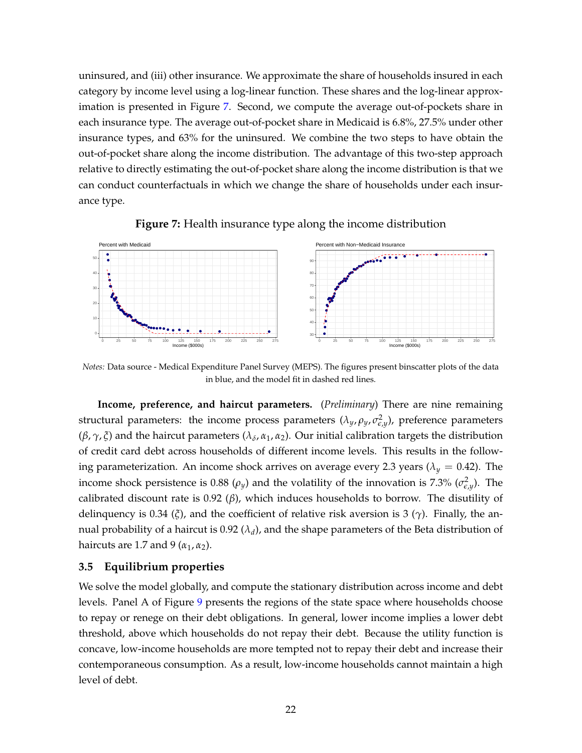uninsured, and (iii) other insurance. We approximate the share of households insured in each category by income level using a log-linear function. These shares and the log-linear approximation is presented in Figure [7.](#page-22-0) Second, we compute the average out-of-pockets share in each insurance type. The average out-of-pocket share in Medicaid is 6.8%, 27.5% under other insurance types, and 63% for the uninsured. We combine the two steps to have obtain the out-of-pocket share along the income distribution. The advantage of this two-step approach relative to directly estimating the out-of-pocket share along the income distribution is that we can conduct counterfactuals in which we change the share of households under each insurance type.

<span id="page-22-0"></span>

**Figure 7:** Health insurance type along the income distribution

*Notes:* Data source - Medical Expenditure Panel Survey (MEPS). The figures present binscatter plots of the data in blue, and the model fit in dashed red lines.

**Income, preference, and haircut parameters.** (*Preliminary*) There are nine remaining structural parameters: the income process parameters  $(\lambda_y, \rho_y, \sigma_{\varepsilon,y}^2)$ , preference parameters (*β*, *γ*, *ξ*) and the haircut parameters (*λ<sup>δ</sup>* , *α*1, *α*2). Our initial calibration targets the distribution of credit card debt across households of different income levels. This results in the following parameterization. An income shock arrives on average every 2.3 years ( $\lambda_y = 0.42$ ). The income shock persistence is 0.88  $(\rho_y)$  and the volatility of the innovation is 7.3%  $(\sigma_{\epsilon,y}^2)$ . The calibrated discount rate is 0.92 (*β*), which induces households to borrow. The disutility of delinquency is 0.34 (*ξ*), and the coefficient of relative risk aversion is 3 (*γ*). Finally, the annual probability of a haircut is 0.92  $(\lambda_d)$ , and the shape parameters of the Beta distribution of haircuts are 1.7 and 9 ( $\alpha_1$ ,  $\alpha_2$ ).

## **3.5 Equilibrium properties**

We solve the model globally, and compute the stationary distribution across income and debt levels. Panel A of Figure [9](#page-23-0) presents the regions of the state space where households choose to repay or renege on their debt obligations. In general, lower income implies a lower debt threshold, above which households do not repay their debt. Because the utility function is concave, low-income households are more tempted not to repay their debt and increase their contemporaneous consumption. As a result, low-income households cannot maintain a high level of debt.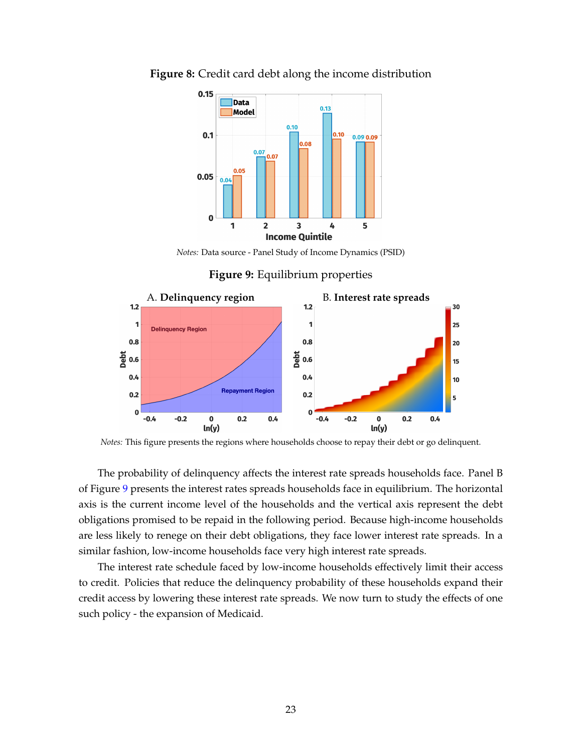

**Figure 8:** Credit card debt along the income distribution

*Notes:* Data source - Panel Study of Income Dynamics (PSID)

**Figure 9:** Equilibrium properties

<span id="page-23-0"></span>

*Notes:* This figure presents the regions where households choose to repay their debt or go delinquent.

The probability of delinquency affects the interest rate spreads households face. Panel B of Figure [9](#page-23-0) presents the interest rates spreads households face in equilibrium. The horizontal axis is the current income level of the households and the vertical axis represent the debt obligations promised to be repaid in the following period. Because high-income households are less likely to renege on their debt obligations, they face lower interest rate spreads. In a similar fashion, low-income households face very high interest rate spreads.

The interest rate schedule faced by low-income households effectively limit their access to credit. Policies that reduce the delinquency probability of these households expand their credit access by lowering these interest rate spreads. We now turn to study the effects of one such policy - the expansion of Medicaid.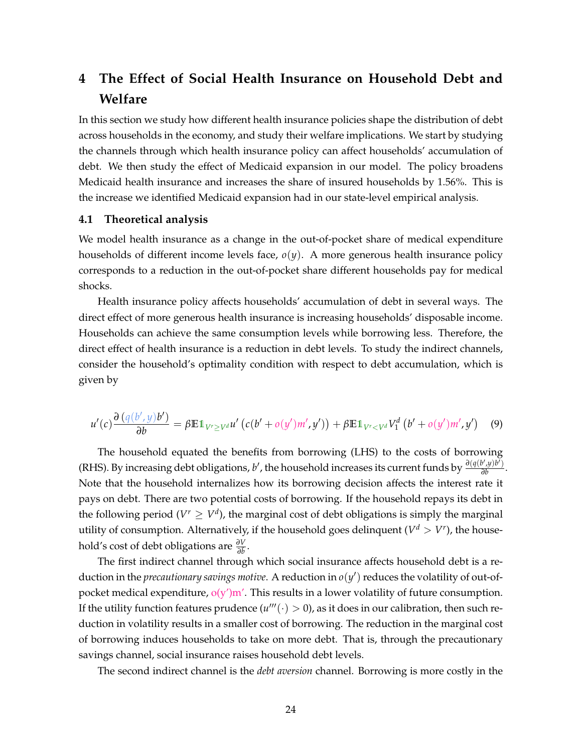# **4 The Effect of Social Health Insurance on Household Debt and Welfare**

In this section we study how different health insurance policies shape the distribution of debt across households in the economy, and study their welfare implications. We start by studying the channels through which health insurance policy can affect households' accumulation of debt. We then study the effect of Medicaid expansion in our model. The policy broadens Medicaid health insurance and increases the share of insured households by 1.56%. This is the increase we identified Medicaid expansion had in our state-level empirical analysis.

#### **4.1 Theoretical analysis**

We model health insurance as a change in the out-of-pocket share of medical expenditure households of different income levels face,  $o(y)$ . A more generous health insurance policy corresponds to a reduction in the out-of-pocket share different households pay for medical shocks.

Health insurance policy affects households' accumulation of debt in several ways. The direct effect of more generous health insurance is increasing households' disposable income. Households can achieve the same consumption levels while borrowing less. Therefore, the direct effect of health insurance is a reduction in debt levels. To study the indirect channels, consider the household's optimality condition with respect to debt accumulation, which is given by

$$
u'(c)\frac{\partial \left(q(b',y)b'\right)}{\partial b} = \beta \mathbb{E} \mathbb{1}_{V' \geq V^d} u'\left(c(b' + o(y')m', y')\right) + \beta \mathbb{E} \mathbb{1}_{V' < V^d} V_1^d\left(b' + o(y')m', y'\right) \tag{9}
$$

The household equated the benefits from borrowing (LHS) to the costs of borrowing (RHS). By increasing debt obligations, *b'*, the household increases its current funds by  $\frac{\partial (q(b',y)b')}{\partial b}$  $\frac{\partial (y)}{\partial b}$ . Note that the household internalizes how its borrowing decision affects the interest rate it pays on debt. There are two potential costs of borrowing. If the household repays its debt in the following period ( $V^r \geq V^d$ ), the marginal cost of debt obligations is simply the marginal utility of consumption. Alternatively, if the household goes delinquent ( $V^d > V^r$ ), the household's cost of debt obligations are  $\frac{\partial V}{\partial \tilde{b}}$ .

The first indirect channel through which social insurance affects household debt is a reduction in the *precautionary savings motive*. A reduction in  $o(y')$  reduces the volatility of out-ofpocket medical expenditure,  $o(y')m'$ . This results in a lower volatility of future consumption. If the utility function features prudence ( $u'''(\cdot) > 0$ ), as it does in our calibration, then such reduction in volatility results in a smaller cost of borrowing. The reduction in the marginal cost of borrowing induces households to take on more debt. That is, through the precautionary savings channel, social insurance raises household debt levels.

The second indirect channel is the *debt aversion* channel. Borrowing is more costly in the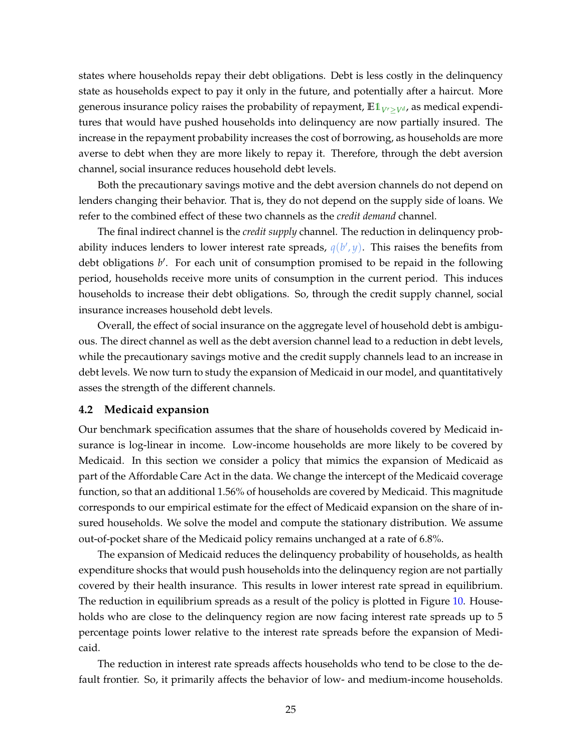states where households repay their debt obligations. Debt is less costly in the delinquency state as households expect to pay it only in the future, and potentially after a haircut. More generous insurance policy raises the probability of repayment,  $\mathbb{E} \mathbb{1}_{V^r > V^d}$ , as medical expenditures that would have pushed households into delinquency are now partially insured. The increase in the repayment probability increases the cost of borrowing, as households are more averse to debt when they are more likely to repay it. Therefore, through the debt aversion channel, social insurance reduces household debt levels.

Both the precautionary savings motive and the debt aversion channels do not depend on lenders changing their behavior. That is, they do not depend on the supply side of loans. We refer to the combined effect of these two channels as the *credit demand* channel.

The final indirect channel is the *credit supply* channel. The reduction in delinquency probability induces lenders to lower interest rate spreads,  $q(b', y)$ . This raises the benefits from debt obligations b'. For each unit of consumption promised to be repaid in the following period, households receive more units of consumption in the current period. This induces households to increase their debt obligations. So, through the credit supply channel, social insurance increases household debt levels.

Overall, the effect of social insurance on the aggregate level of household debt is ambiguous. The direct channel as well as the debt aversion channel lead to a reduction in debt levels, while the precautionary savings motive and the credit supply channels lead to an increase in debt levels. We now turn to study the expansion of Medicaid in our model, and quantitatively asses the strength of the different channels.

#### **4.2 Medicaid expansion**

Our benchmark specification assumes that the share of households covered by Medicaid insurance is log-linear in income. Low-income households are more likely to be covered by Medicaid. In this section we consider a policy that mimics the expansion of Medicaid as part of the Affordable Care Act in the data. We change the intercept of the Medicaid coverage function, so that an additional 1.56% of households are covered by Medicaid. This magnitude corresponds to our empirical estimate for the effect of Medicaid expansion on the share of insured households. We solve the model and compute the stationary distribution. We assume out-of-pocket share of the Medicaid policy remains unchanged at a rate of 6.8%.

The expansion of Medicaid reduces the delinquency probability of households, as health expenditure shocks that would push households into the delinquency region are not partially covered by their health insurance. This results in lower interest rate spread in equilibrium. The reduction in equilibrium spreads as a result of the policy is plotted in Figure [10.](#page-26-0) Households who are close to the delinquency region are now facing interest rate spreads up to 5 percentage points lower relative to the interest rate spreads before the expansion of Medicaid.

The reduction in interest rate spreads affects households who tend to be close to the default frontier. So, it primarily affects the behavior of low- and medium-income households.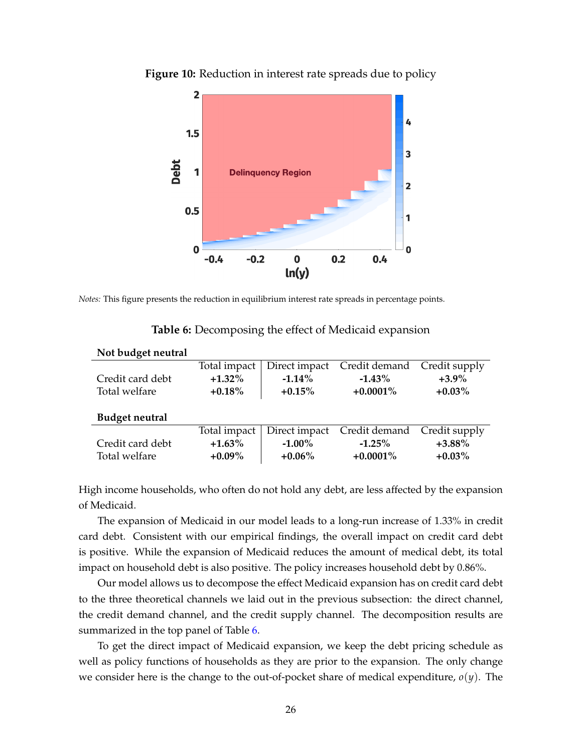

<span id="page-26-0"></span>**Figure 10:** Reduction in interest rate spreads due to policy

<span id="page-26-1"></span>*Notes:* This figure presents the reduction in equilibrium interest rate spreads in percentage points.

**Not budget neutral**

|                       | Total impact | Direct impact | Credit demand Credit supply |           |
|-----------------------|--------------|---------------|-----------------------------|-----------|
| Credit card debt      | $+1.32\%$    | $-1.14%$      | $-1.43\%$                   | $+3.9\%$  |
| Total welfare         | $+0.18%$     | $+0.15%$      | $+0.0001\%$                 | $+0.03\%$ |
|                       |              |               |                             |           |
| <b>Budget neutral</b> |              |               |                             |           |
|                       | Total impact | Direct impact | Credit demand Credit supply |           |
| Credit card debt      | $+1.63\%$    | $-1.00\%$     | $-1.25%$                    | $+3.88\%$ |
| Total welfare         | $+0.09\%$    | $+0.06\%$     | $+0.0001\%$                 | $+0.03\%$ |

|  |  | Table 6: Decomposing the effect of Medicaid expansion |  |  |  |
|--|--|-------------------------------------------------------|--|--|--|
|--|--|-------------------------------------------------------|--|--|--|

High income households, who often do not hold any debt, are less affected by the expansion of Medicaid.

The expansion of Medicaid in our model leads to a long-run increase of 1.33% in credit card debt. Consistent with our empirical findings, the overall impact on credit card debt is positive. While the expansion of Medicaid reduces the amount of medical debt, its total impact on household debt is also positive. The policy increases household debt by 0.86%.

Our model allows us to decompose the effect Medicaid expansion has on credit card debt to the three theoretical channels we laid out in the previous subsection: the direct channel, the credit demand channel, and the credit supply channel. The decomposition results are summarized in the top panel of Table [6.](#page-26-1)

To get the direct impact of Medicaid expansion, we keep the debt pricing schedule as well as policy functions of households as they are prior to the expansion. The only change we consider here is the change to the out-of-pocket share of medical expenditure,  $o(y)$ . The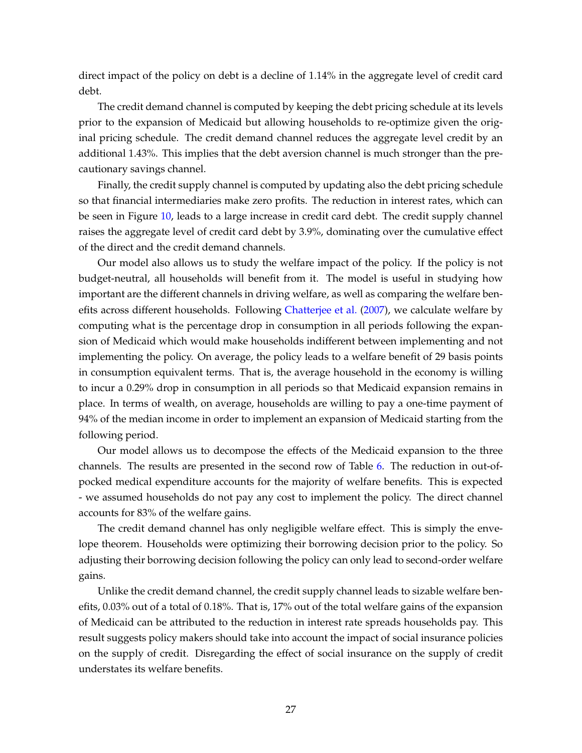direct impact of the policy on debt is a decline of 1.14% in the aggregate level of credit card debt.

The credit demand channel is computed by keeping the debt pricing schedule at its levels prior to the expansion of Medicaid but allowing households to re-optimize given the original pricing schedule. The credit demand channel reduces the aggregate level credit by an additional 1.43%. This implies that the debt aversion channel is much stronger than the precautionary savings channel.

Finally, the credit supply channel is computed by updating also the debt pricing schedule so that financial intermediaries make zero profits. The reduction in interest rates, which can be seen in Figure [10,](#page-26-0) leads to a large increase in credit card debt. The credit supply channel raises the aggregate level of credit card debt by 3.9%, dominating over the cumulative effect of the direct and the credit demand channels.

Our model also allows us to study the welfare impact of the policy. If the policy is not budget-neutral, all households will benefit from it. The model is useful in studying how important are the different channels in driving welfare, as well as comparing the welfare benefits across different households. Following [Chatterjee et al.](#page-29-6) [\(2007\)](#page-29-6), we calculate welfare by computing what is the percentage drop in consumption in all periods following the expansion of Medicaid which would make households indifferent between implementing and not implementing the policy. On average, the policy leads to a welfare benefit of 29 basis points in consumption equivalent terms. That is, the average household in the economy is willing to incur a 0.29% drop in consumption in all periods so that Medicaid expansion remains in place. In terms of wealth, on average, households are willing to pay a one-time payment of 94% of the median income in order to implement an expansion of Medicaid starting from the following period.

Our model allows us to decompose the effects of the Medicaid expansion to the three channels. The results are presented in the second row of Table [6.](#page-26-1) The reduction in out-ofpocked medical expenditure accounts for the majority of welfare benefits. This is expected - we assumed households do not pay any cost to implement the policy. The direct channel accounts for 83% of the welfare gains.

The credit demand channel has only negligible welfare effect. This is simply the envelope theorem. Households were optimizing their borrowing decision prior to the policy. So adjusting their borrowing decision following the policy can only lead to second-order welfare gains.

Unlike the credit demand channel, the credit supply channel leads to sizable welfare benefits, 0.03% out of a total of 0.18%. That is, 17% out of the total welfare gains of the expansion of Medicaid can be attributed to the reduction in interest rate spreads households pay. This result suggests policy makers should take into account the impact of social insurance policies on the supply of credit. Disregarding the effect of social insurance on the supply of credit understates its welfare benefits.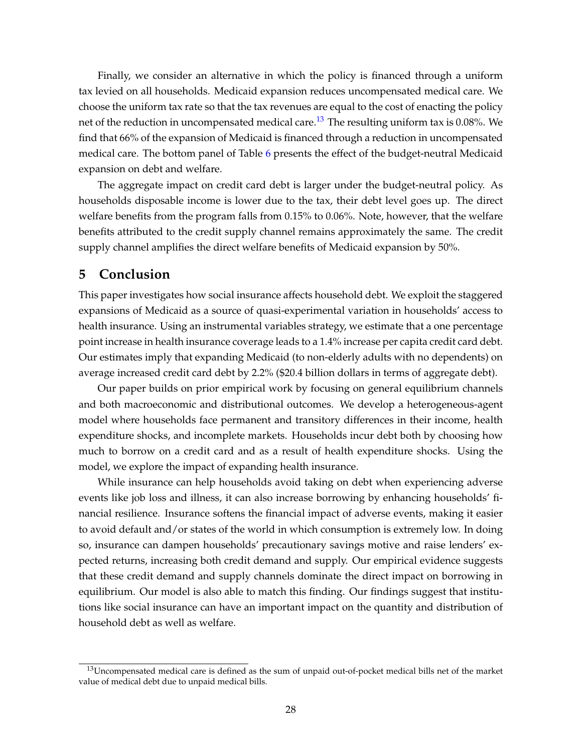Finally, we consider an alternative in which the policy is financed through a uniform tax levied on all households. Medicaid expansion reduces uncompensated medical care. We choose the uniform tax rate so that the tax revenues are equal to the cost of enacting the policy net of the reduction in uncompensated medical care.<sup>[13](#page-28-1)</sup> The resulting uniform tax is 0.08%. We find that 66% of the expansion of Medicaid is financed through a reduction in uncompensated medical care. The bottom panel of Table [6](#page-26-1) presents the effect of the budget-neutral Medicaid expansion on debt and welfare.

The aggregate impact on credit card debt is larger under the budget-neutral policy. As households disposable income is lower due to the tax, their debt level goes up. The direct welfare benefits from the program falls from 0.15% to 0.06%. Note, however, that the welfare benefits attributed to the credit supply channel remains approximately the same. The credit supply channel amplifies the direct welfare benefits of Medicaid expansion by 50%.

## <span id="page-28-0"></span>**5 Conclusion**

This paper investigates how social insurance affects household debt. We exploit the staggered expansions of Medicaid as a source of quasi-experimental variation in households' access to health insurance. Using an instrumental variables strategy, we estimate that a one percentage point increase in health insurance coverage leads to a 1.4% increase per capita credit card debt. Our estimates imply that expanding Medicaid (to non-elderly adults with no dependents) on average increased credit card debt by 2.2% (\$20.4 billion dollars in terms of aggregate debt).

Our paper builds on prior empirical work by focusing on general equilibrium channels and both macroeconomic and distributional outcomes. We develop a heterogeneous-agent model where households face permanent and transitory differences in their income, health expenditure shocks, and incomplete markets. Households incur debt both by choosing how much to borrow on a credit card and as a result of health expenditure shocks. Using the model, we explore the impact of expanding health insurance.

While insurance can help households avoid taking on debt when experiencing adverse events like job loss and illness, it can also increase borrowing by enhancing households' financial resilience. Insurance softens the financial impact of adverse events, making it easier to avoid default and/or states of the world in which consumption is extremely low. In doing so, insurance can dampen households' precautionary savings motive and raise lenders' expected returns, increasing both credit demand and supply. Our empirical evidence suggests that these credit demand and supply channels dominate the direct impact on borrowing in equilibrium. Our model is also able to match this finding. Our findings suggest that institutions like social insurance can have an important impact on the quantity and distribution of household debt as well as welfare.

<span id="page-28-1"></span> $13$ Uncompensated medical care is defined as the sum of unpaid out-of-pocket medical bills net of the market value of medical debt due to unpaid medical bills.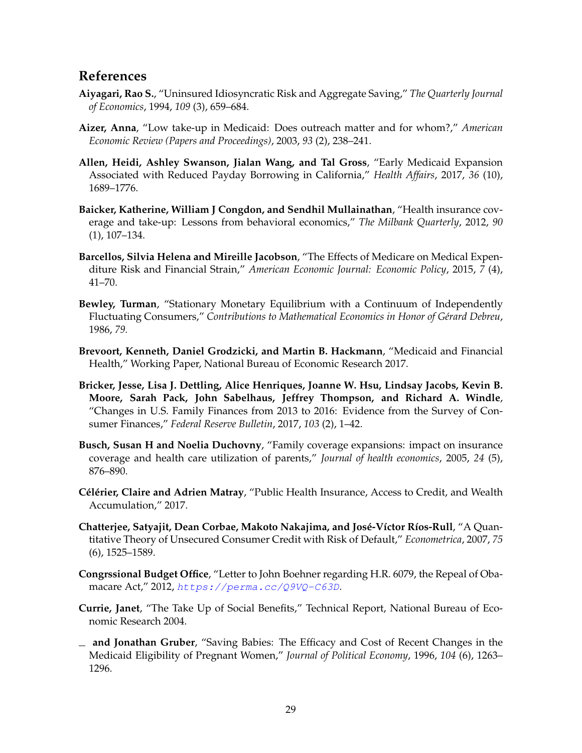## **References**

- <span id="page-29-2"></span>**Aiyagari, Rao S.**, "Uninsured Idiosyncratic Risk and Aggregate Saving," *The Quarterly Journal of Economics*, 1994, *109* (3), 659–684.
- <span id="page-29-10"></span>**Aizer, Anna**, "Low take-up in Medicaid: Does outreach matter and for whom?," *American Economic Review (Papers and Proceedings)*, 2003, *93* (2), 238–241.
- <span id="page-29-1"></span>**Allen, Heidi, Ashley Swanson, Jialan Wang, and Tal Gross**, "Early Medicaid Expansion Associated with Reduced Payday Borrowing in California," *Health Affairs*, 2017, *36* (10), 1689–1776.
- <span id="page-29-12"></span>**Baicker, Katherine, William J Congdon, and Sendhil Mullainathan**, "Health insurance coverage and take-up: Lessons from behavioral economics," *The Milbank Quarterly*, 2012, *90* (1), 107–134.
- <span id="page-29-8"></span>**Barcellos, Silvia Helena and Mireille Jacobson**, "The Effects of Medicare on Medical Expenditure Risk and Financial Strain," *American Economic Journal: Economic Policy*, 2015, *7* (4), 41–70.
- <span id="page-29-5"></span>**Bewley, Turman**, "Stationary Monetary Equilibrium with a Continuum of Independently Fluctuating Consumers," *Contributions to Mathematical Economics in Honor of Gérard Debreu*, 1986, *79.*
- <span id="page-29-3"></span>**Brevoort, Kenneth, Daniel Grodzicki, and Martin B. Hackmann**, "Medicaid and Financial Health," Working Paper, National Bureau of Economic Research 2017.
- <span id="page-29-0"></span>**Bricker, Jesse, Lisa J. Dettling, Alice Henriques, Joanne W. Hsu, Lindsay Jacobs, Kevin B. Moore, Sarah Pack, John Sabelhaus, Jeffrey Thompson, and Richard A. Windle**, "Changes in U.S. Family Finances from 2013 to 2016: Evidence from the Survey of Consumer Finances," *Federal Reserve Bulletin*, 2017, *103* (2), 1–42.
- <span id="page-29-13"></span>**Busch, Susan H and Noelia Duchovny**, "Family coverage expansions: impact on insurance coverage and health care utilization of parents," *Journal of health economics*, 2005, *24* (5), 876–890.
- <span id="page-29-4"></span>**Célérier, Claire and Adrien Matray**, "Public Health Insurance, Access to Credit, and Wealth Accumulation," 2017.
- <span id="page-29-6"></span>**Chatterjee, Satyajit, Dean Corbae, Makoto Nakajima, and José-Víctor Ríos-Rull**, "A Quantitative Theory of Unsecured Consumer Credit with Risk of Default," *Econometrica*, 2007, *75* (6), 1525–1589.
- <span id="page-29-7"></span>**Congrssional Budget Office**, "Letter to John Boehner regarding H.R. 6079, the Repeal of Obamacare Act," 2012, <https://perma.cc/Q9VQ-C63D>*.*
- <span id="page-29-11"></span>**Currie, Janet**, "The Take Up of Social Benefits," Technical Report, National Bureau of Economic Research 2004.
- <span id="page-29-9"></span>**and Jonathan Gruber**, "Saving Babies: The Efficacy and Cost of Recent Changes in the Medicaid Eligibility of Pregnant Women," *Journal of Political Economy*, 1996, *104* (6), 1263– 1296.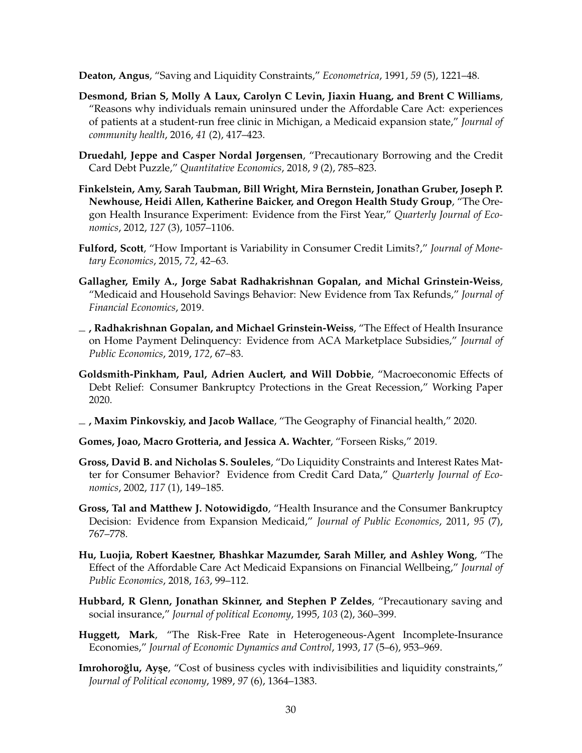<span id="page-30-7"></span>**Deaton, Angus**, "Saving and Liquidity Constraints," *Econometrica*, 1991, *59* (5), 1221–48.

- <span id="page-30-15"></span>**Desmond, Brian S, Molly A Laux, Carolyn C Levin, Jiaxin Huang, and Brent C Williams**, "Reasons why individuals remain uninsured under the Affordable Care Act: experiences of patients at a student-run free clinic in Michigan, a Medicaid expansion state," *Journal of community health*, 2016, *41* (2), 417–423.
- <span id="page-30-10"></span>**Druedahl, Jeppe and Casper Nordal Jørgensen**, "Precautionary Borrowing and the Credit Card Debt Puzzle," *Quantitative Economics*, 2018, *9* (2), 785–823.
- <span id="page-30-12"></span>**Finkelstein, Amy, Sarah Taubman, Bill Wright, Mira Bernstein, Jonathan Gruber, Joseph P. Newhouse, Heidi Allen, Katherine Baicker, and Oregon Health Study Group**, "The Oregon Health Insurance Experiment: Evidence from the First Year," *Quarterly Journal of Economics*, 2012, *127* (3), 1057–1106.
- <span id="page-30-14"></span>**Fulford, Scott**, "How Important is Variability in Consumer Credit Limits?," *Journal of Monetary Economics*, 2015, *72*, 42–63.
- <span id="page-30-4"></span>**Gallagher, Emily A., Jorge Sabat Radhakrishnan Gopalan, and Michal Grinstein-Weiss**, "Medicaid and Household Savings Behavior: New Evidence from Tax Refunds," *Journal of Financial Economics*, 2019.
- <span id="page-30-1"></span>**, Radhakrishnan Gopalan, and Michael Grinstein-Weiss**, "The Effect of Health Insurance on Home Payment Delinquency: Evidence from ACA Marketplace Subsidies," *Journal of Public Economics*, 2019, *172*, 67–83.
- <span id="page-30-13"></span>**Goldsmith-Pinkham, Paul, Adrien Auclert, and Will Dobbie**, "Macroeconomic Effects of Debt Relief: Consumer Bankruptcy Protections in the Great Recession," Working Paper 2020.
- <span id="page-30-3"></span>**, Maxim Pinkovskiy, and Jacob Wallace**, "The Geography of Financial health," 2020.
- <span id="page-30-11"></span>**Gomes, Joao, Macro Grotteria, and Jessica A. Wachter**, "Forseen Risks," 2019.
- <span id="page-30-9"></span>**Gross, David B. and Nicholas S. Souleles**, "Do Liquidity Constraints and Interest Rates Matter for Consumer Behavior? Evidence from Credit Card Data," *Quarterly Journal of Economics*, 2002, *117* (1), 149–185.
- <span id="page-30-0"></span>**Gross, Tal and Matthew J. Notowidigdo**, "Health Insurance and the Consumer Bankruptcy Decision: Evidence from Expansion Medicaid," *Journal of Public Economics*, 2011, *95* (7), 767–778.
- <span id="page-30-2"></span>**Hu, Luojia, Robert Kaestner, Bhashkar Mazumder, Sarah Miller, and Ashley Wong**, "The Effect of the Affordable Care Act Medicaid Expansions on Financial Wellbeing," *Journal of Public Economics*, 2018, *163*, 99–112.
- <span id="page-30-8"></span>**Hubbard, R Glenn, Jonathan Skinner, and Stephen P Zeldes**, "Precautionary saving and social insurance," *Journal of political Economy*, 1995, *103* (2), 360–399.
- <span id="page-30-5"></span>**Huggett, Mark**, "The Risk-Free Rate in Heterogeneous-Agent Incomplete-Insurance Economies," *Journal of Economic Dynamics and Control*, 1993, *17* (5–6), 953–969.
- <span id="page-30-6"></span>**Imrohoroğlu, Ayşe**, "Cost of business cycles with indivisibilities and liquidity constraints," *Journal of Political economy*, 1989, *97* (6), 1364–1383.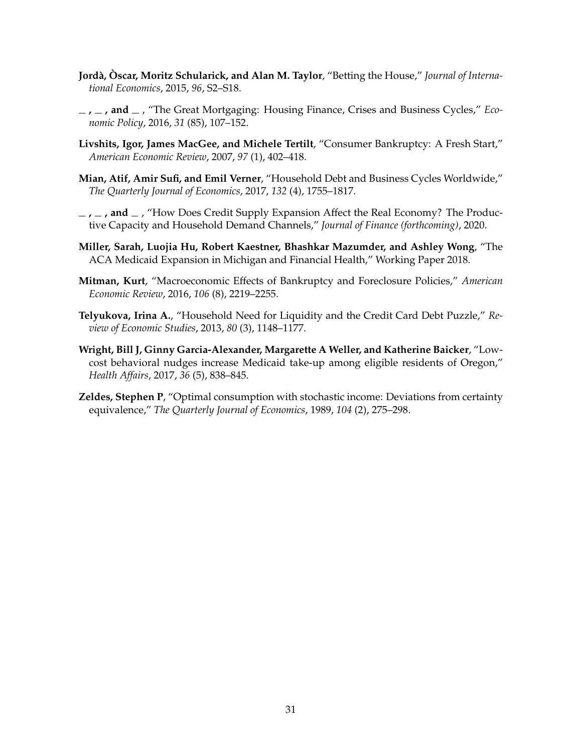- <span id="page-31-5"></span>**Jordà, Òscar, Moritz Schularick, and Alan M. Taylor**, "Betting the House," *Journal of International Economics*, 2015, *96*, S2–S18.
- <span id="page-31-6"></span>**, , and** , "The Great Mortgaging: Housing Finance, Crises and Business Cycles," *Economic Policy*, 2016, *31* (85), 107–152.
- <span id="page-31-2"></span>**Livshits, Igor, James MacGee, and Michele Tertilt**, "Consumer Bankruptcy: A Fresh Start," *American Economic Review*, 2007, *97* (1), 402–418.
- <span id="page-31-7"></span>**Mian, Atif, Amir Sufi, and Emil Verner**, "Household Debt and Business Cycles Worldwide," *The Quarterly Journal of Economics*, 2017, *132* (4), 1755–1817.
- <span id="page-31-8"></span>**, , and** , "How Does Credit Supply Expansion Affect the Real Economy? The Productive Capacity and Household Demand Channels," *Journal of Finance (forthcoming)*, 2020.
- <span id="page-31-0"></span>**Miller, Sarah, Luojia Hu, Robert Kaestner, Bhashkar Mazumder, and Ashley Wong**, "The ACA Medicaid Expansion in Michigan and Financial Health," Working Paper 2018.
- <span id="page-31-3"></span>**Mitman, Kurt**, "Macroeconomic Effects of Bankruptcy and Foreclosure Policies," *American Economic Review*, 2016, *106* (8), 2219–2255.
- <span id="page-31-4"></span>**Telyukova, Irina A.**, "Household Need for Liquidity and the Credit Card Debt Puzzle," *Review of Economic Studies*, 2013, *80* (3), 1148–1177.
- <span id="page-31-9"></span>**Wright, Bill J, Ginny Garcia-Alexander, Margarette A Weller, and Katherine Baicker**, "Lowcost behavioral nudges increase Medicaid take-up among eligible residents of Oregon," *Health Affairs*, 2017, *36* (5), 838–845.
- <span id="page-31-1"></span>**Zeldes, Stephen P**, "Optimal consumption with stochastic income: Deviations from certainty equivalence," *The Quarterly Journal of Economics*, 1989, *104* (2), 275–298.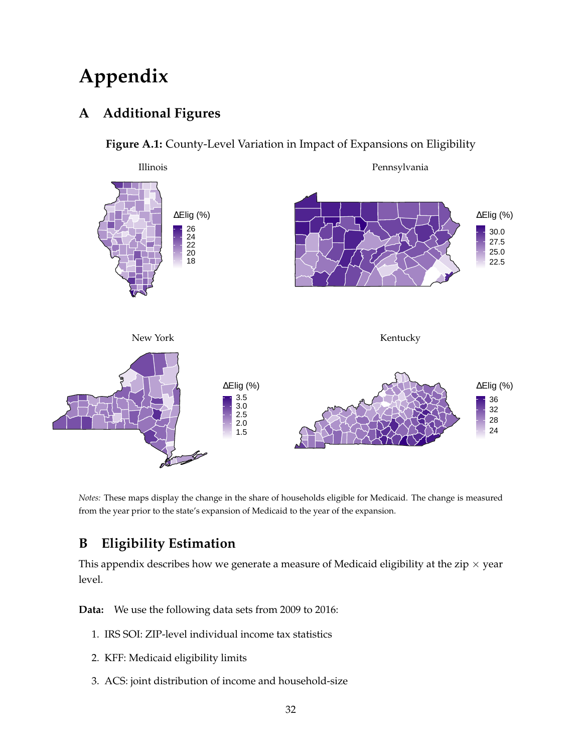# **Appendix**

# <span id="page-32-1"></span>**A Additional Figures**

## **Figure A.1:** County-Level Variation in Impact of Expansions on Eligibility



*Notes:* These maps display the change in the share of households eligible for Medicaid. The change is measured from the year prior to the state's expansion of Medicaid to the year of the expansion.

# <span id="page-32-0"></span>**B Eligibility Estimation**

This appendix describes how we generate a measure of Medicaid eligibility at the zip  $\times$  year level.

**Data:** We use the following data sets from 2009 to 2016:

- 1. IRS SOI: ZIP-level individual income tax statistics
- 2. KFF: Medicaid eligibility limits
- 3. ACS: joint distribution of income and household-size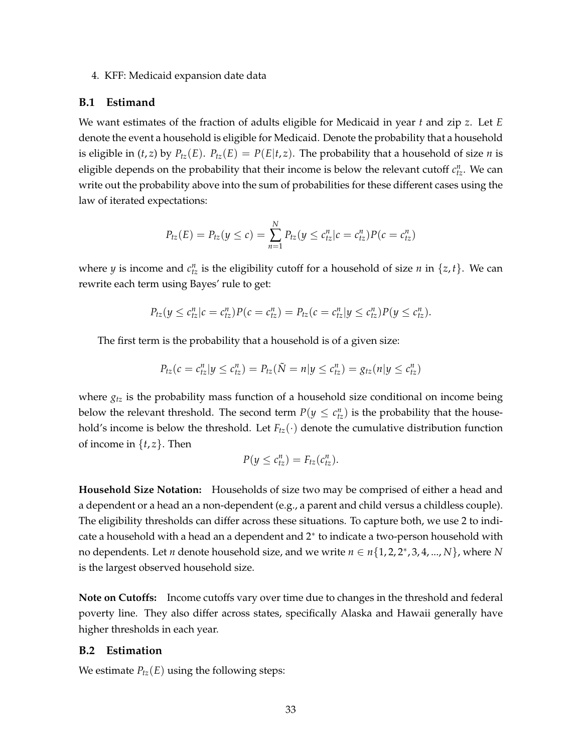#### 4. KFF: Medicaid expansion date data

#### **B.1 Estimand**

We want estimates of the fraction of adults eligible for Medicaid in year *t* and zip *z*. Let *E* denote the event a household is eligible for Medicaid. Denote the probability that a household is eligible in  $(t, z)$  by  $P_{tz}(E)$ .  $P_{tz}(E) = P(E|t, z)$ . The probability that a household of size *n* is eligible depends on the probability that their income is below the relevant cutoff  $c_{tz}^n$ . We can write out the probability above into the sum of probabilities for these different cases using the law of iterated expectations:

$$
P_{tz}(E) = P_{tz}(y \le c) = \sum_{n=1}^{N} P_{tz}(y \le c_{tz}^n | c = c_{tz}^n) P(c = c_{tz}^n)
$$

where *y* is income and  $c_{tz}^n$  is the eligibility cutoff for a household of size *n* in  $\{z, t\}$ . We can rewrite each term using Bayes' rule to get:

$$
P_{tz}(y \leq c_{tz}^n | c = c_{tz}^n) P(c = c_{tz}^n) = P_{tz}(c = c_{tz}^n | y \leq c_{tz}^n) P(y \leq c_{tz}^n).
$$

The first term is the probability that a household is of a given size:

$$
P_{tz}(c = c_{tz}^n | y \le c_{tz}^n) = P_{tz}(\tilde{N} = n | y \le c_{tz}^n) = g_{tz}(n | y \le c_{tz}^n)
$$

where *gtz* is the probability mass function of a household size conditional on income being below the relevant threshold. The second term  $P(y \leq c_{tz}^n)$  is the probability that the household's income is below the threshold. Let  $F_{tz}(\cdot)$  denote the cumulative distribution function of income in  $\{t, z\}$ . Then

$$
P(y \leq c_{tz}^n) = F_{tz}(c_{tz}^n).
$$

**Household Size Notation:** Households of size two may be comprised of either a head and a dependent or a head an a non-dependent (e.g., a parent and child versus a childless couple). The eligibility thresholds can differ across these situations. To capture both, we use 2 to indicate a household with a head an a dependent and 2<sup>∗</sup> to indicate a two-person household with no dependents. Let *n* denote household size, and we write *n* ∈ *n*{1, 2, 2<sup>∗</sup> , 3, 4, ..., *N*}, where *N* is the largest observed household size.

**Note on Cutoffs:** Income cutoffs vary over time due to changes in the threshold and federal poverty line. They also differ across states, specifically Alaska and Hawaii generally have higher thresholds in each year.

## **B.2 Estimation**

We estimate  $P_{tz}(E)$  using the following steps: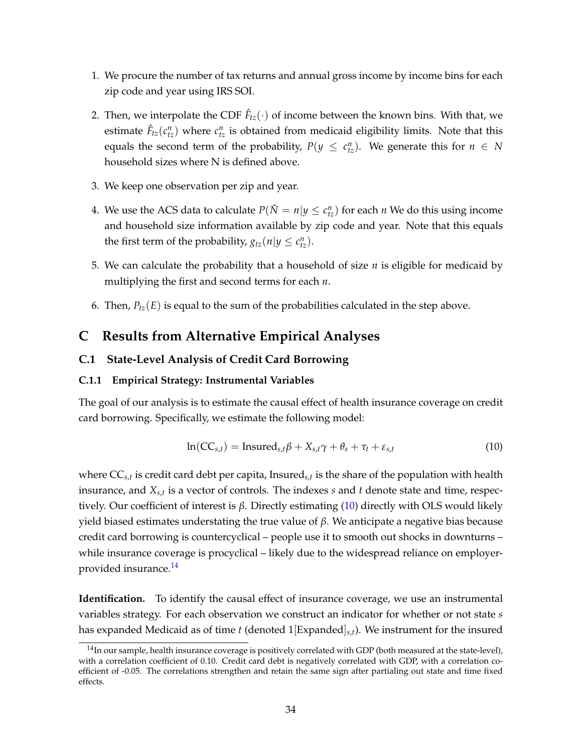- 1. We procure the number of tax returns and annual gross income by income bins for each zip code and year using IRS SOI.
- 2. Then, we interpolate the CDF  $\hat{F}_{tz}(\cdot)$  of income between the known bins. With that, we estimate  $\hat{F}_{tz}(c_{tz}^n)$  where  $c_{tz}^n$  is obtained from medicaid eligibility limits. Note that this equals the second term of the probability,  $P(y \leq c_{tz}^n)$ . We generate this for  $n \in N$ household sizes where N is defined above.
- 3. We keep one observation per zip and year.
- 4. We use the ACS data to calculate  $P(\tilde{N} = n | y \le c_{tz}^n)$  for each *n* We do this using income and household size information available by zip code and year. Note that this equals the first term of the probability,  $g_{tz}(n|y \leq c_{tz}^n)$ .
- 5. We can calculate the probability that a household of size *n* is eligible for medicaid by multiplying the first and second terms for each *n*.
- 6. Then,  $P_{tz}(E)$  is equal to the sum of the probabilities calculated in the step above.

## **C Results from Alternative Empirical Analyses**

## **C.1 State-Level Analysis of Credit Card Borrowing**

## **C.1.1 Empirical Strategy: Instrumental Variables**

The goal of our analysis is to estimate the causal effect of health insurance coverage on credit card borrowing. Specifically, we estimate the following model:

<span id="page-34-0"></span>
$$
\ln(CC_{s,t}) = \text{Insured}_{s,t}\beta + X_{s,t}\gamma + \theta_s + \tau_t + \varepsilon_{s,t}
$$
\n(10)

where CC*s*,*<sup>t</sup>* is credit card debt per capita, Insured*s*,*<sup>t</sup>* is the share of the population with health insurance, and *Xs*,*<sup>t</sup>* is a vector of controls. The indexes *s* and *t* denote state and time, respectively. Our coefficient of interest is *β*. Directly estimating [\(10\)](#page-34-0) directly with OLS would likely yield biased estimates understating the true value of *β*. We anticipate a negative bias because credit card borrowing is countercyclical – people use it to smooth out shocks in downturns – while insurance coverage is procyclical – likely due to the widespread reliance on employerprovided insurance.[14](#page-34-1)

**Identification.** To identify the causal effect of insurance coverage, we use an instrumental variables strategy. For each observation we construct an indicator for whether or not state *s* has expanded Medicaid as of time *t* (denoted 1[Expanded]*s*,*t*). We instrument for the insured

<span id="page-34-1"></span> $14$ In our sample, health insurance coverage is positively correlated with GDP (both measured at the state-level), with a correlation coefficient of 0.10. Credit card debt is negatively correlated with GDP, with a correlation coefficient of -0.05. The correlations strengthen and retain the same sign after partialing out state and time fixed effects.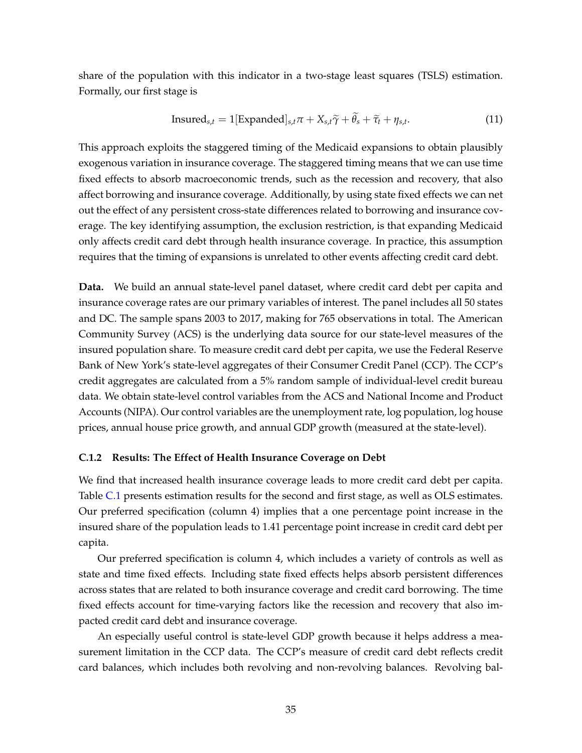share of the population with this indicator in a two-stage least squares (TSLS) estimation. Formally, our first stage is

$$
Insured_{s,t} = 1[Expanded]_{s,t}\pi + X_{s,t}\widetilde{\gamma} + \widetilde{\theta}_s + \widetilde{\tau}_t + \eta_{s,t}.
$$
 (11)

This approach exploits the staggered timing of the Medicaid expansions to obtain plausibly exogenous variation in insurance coverage. The staggered timing means that we can use time fixed effects to absorb macroeconomic trends, such as the recession and recovery, that also affect borrowing and insurance coverage. Additionally, by using state fixed effects we can net out the effect of any persistent cross-state differences related to borrowing and insurance coverage. The key identifying assumption, the exclusion restriction, is that expanding Medicaid only affects credit card debt through health insurance coverage. In practice, this assumption requires that the timing of expansions is unrelated to other events affecting credit card debt.

**Data.** We build an annual state-level panel dataset, where credit card debt per capita and insurance coverage rates are our primary variables of interest. The panel includes all 50 states and DC. The sample spans 2003 to 2017, making for 765 observations in total. The American Community Survey (ACS) is the underlying data source for our state-level measures of the insured population share. To measure credit card debt per capita, we use the Federal Reserve Bank of New York's state-level aggregates of their Consumer Credit Panel (CCP). The CCP's credit aggregates are calculated from a 5% random sample of individual-level credit bureau data. We obtain state-level control variables from the ACS and National Income and Product Accounts (NIPA). Our control variables are the unemployment rate, log population, log house prices, annual house price growth, and annual GDP growth (measured at the state-level).

#### **C.1.2 Results: The Effect of Health Insurance Coverage on Debt**

We find that increased health insurance coverage leads to more credit card debt per capita. Table [C.1](#page-36-0) presents estimation results for the second and first stage, as well as OLS estimates. Our preferred specification (column 4) implies that a one percentage point increase in the insured share of the population leads to 1.41 percentage point increase in credit card debt per capita.

Our preferred specification is column 4, which includes a variety of controls as well as state and time fixed effects. Including state fixed effects helps absorb persistent differences across states that are related to both insurance coverage and credit card borrowing. The time fixed effects account for time-varying factors like the recession and recovery that also impacted credit card debt and insurance coverage.

An especially useful control is state-level GDP growth because it helps address a measurement limitation in the CCP data. The CCP's measure of credit card debt reflects credit card balances, which includes both revolving and non-revolving balances. Revolving bal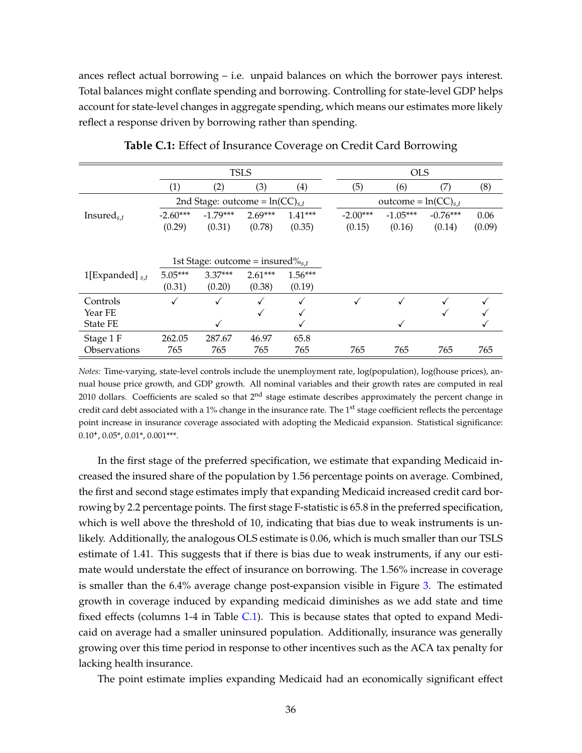ances reflect actual borrowing – i.e. unpaid balances on which the borrower pays interest. Total balances might conflate spending and borrowing. Controlling for state-level GDP helps account for state-level changes in aggregate spending, which means our estimates more likely reflect a response driven by borrowing rather than spending.

<span id="page-36-0"></span>

|                            | <b>TSLS</b>                             |                                     |                     |                     | <b>OLS</b>           |                          |                      |                |
|----------------------------|-----------------------------------------|-------------------------------------|---------------------|---------------------|----------------------|--------------------------|----------------------|----------------|
|                            | (1)                                     | (2)                                 | (3)                 | $\left( 4\right)$   | (5)                  | (6)                      | (7)                  | (8)            |
|                            |                                         | 2nd Stage: outcome = $ln(CC)_{s,t}$ |                     |                     |                      | outcome = $ln(CC)_{s,t}$ |                      |                |
| Insured <sub>s,t</sub>     | $-2.60***$<br>(0.29)                    | $-1.79***$<br>(0.31)                | $2.69***$<br>(0.78) | $1.41***$<br>(0.35) | $-2.00***$<br>(0.15) | $-1.05***$<br>(0.16)     | $-0.76***$<br>(0.14) | 0.06<br>(0.09) |
|                            | 1st Stage: outcome = insured $\%_{s,t}$ |                                     |                     |                     |                      |                          |                      |                |
| 1[Expanded] $_{s,t}$       | $5.05***$<br>(0.31)                     | $3.37***$<br>(0.20)                 | $2.61***$<br>(0.38) | $1.56***$<br>(0.19) |                      |                          |                      |                |
| Controls                   | √                                       | ✓                                   | ✓                   | √                   |                      |                          |                      |                |
| Year FE<br><b>State FE</b> |                                         | ✓                                   | √                   |                     |                      | ✓                        |                      |                |
| Stage 1 F                  | 262.05                                  | 287.67                              | 46.97               | 65.8                |                      |                          |                      |                |
| Observations               | 765                                     | 765                                 | 765                 | 765                 | 765                  | 765                      | 765                  | 765            |

**Table C.1:** Effect of Insurance Coverage on Credit Card Borrowing

*Notes:* Time-varying, state-level controls include the unemployment rate, log(population), log(house prices), annual house price growth, and GDP growth. All nominal variables and their growth rates are computed in real 2010 dollars. Coefficients are scaled so that 2<sup>nd</sup> stage estimate describes approximately the percent change in credit card debt associated with a 1% change in the insurance rate. The 1<sup>st</sup> stage coefficient reflects the percentage point increase in insurance coverage associated with adopting the Medicaid expansion. Statistical significance: 0.10**<sup>+</sup>** , 0.05\*, 0.01\*, 0.001\*\*\*.

In the first stage of the preferred specification, we estimate that expanding Medicaid increased the insured share of the population by 1.56 percentage points on average. Combined, the first and second stage estimates imply that expanding Medicaid increased credit card borrowing by 2.2 percentage points. The first stage F-statistic is 65.8 in the preferred specification, which is well above the threshold of 10, indicating that bias due to weak instruments is unlikely. Additionally, the analogous OLS estimate is 0.06, which is much smaller than our TSLS estimate of 1.41. This suggests that if there is bias due to weak instruments, if any our estimate would understate the effect of insurance on borrowing. The 1.56% increase in coverage is smaller than the 6.4% average change post-expansion visible in Figure [3.](#page-8-0) The estimated growth in coverage induced by expanding medicaid diminishes as we add state and time fixed effects (columns 1-4 in Table [C.1\)](#page-36-0). This is because states that opted to expand Medicaid on average had a smaller uninsured population. Additionally, insurance was generally growing over this time period in response to other incentives such as the ACA tax penalty for lacking health insurance.

The point estimate implies expanding Medicaid had an economically significant effect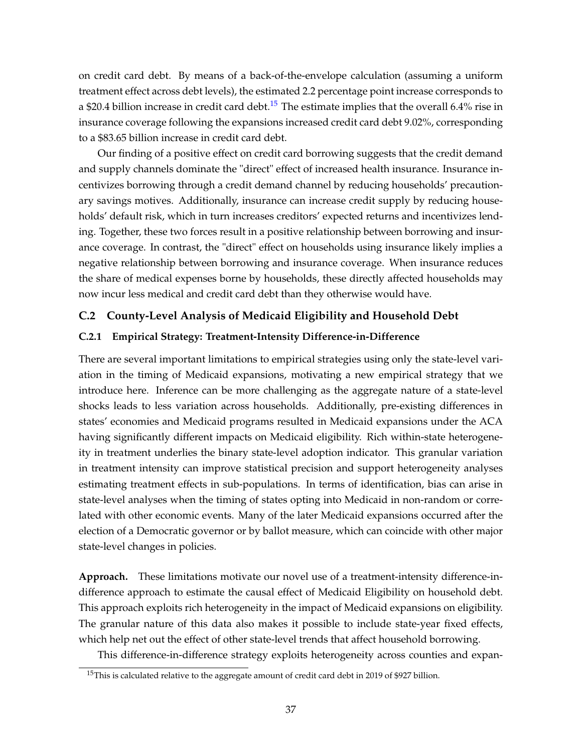on credit card debt. By means of a back-of-the-envelope calculation (assuming a uniform treatment effect across debt levels), the estimated 2.2 percentage point increase corresponds to a \$20.4 billion increase in credit card debt.<sup>[15](#page-37-0)</sup> The estimate implies that the overall 6.4% rise in insurance coverage following the expansions increased credit card debt 9.02%, corresponding to a \$83.65 billion increase in credit card debt.

Our finding of a positive effect on credit card borrowing suggests that the credit demand and supply channels dominate the "direct" effect of increased health insurance. Insurance incentivizes borrowing through a credit demand channel by reducing households' precautionary savings motives. Additionally, insurance can increase credit supply by reducing households' default risk, which in turn increases creditors' expected returns and incentivizes lending. Together, these two forces result in a positive relationship between borrowing and insurance coverage. In contrast, the "direct" effect on households using insurance likely implies a negative relationship between borrowing and insurance coverage. When insurance reduces the share of medical expenses borne by households, these directly affected households may now incur less medical and credit card debt than they otherwise would have.

## **C.2 County-Level Analysis of Medicaid Eligibility and Household Debt**

## **C.2.1 Empirical Strategy: Treatment-Intensity Difference-in-Difference**

There are several important limitations to empirical strategies using only the state-level variation in the timing of Medicaid expansions, motivating a new empirical strategy that we introduce here. Inference can be more challenging as the aggregate nature of a state-level shocks leads to less variation across households. Additionally, pre-existing differences in states' economies and Medicaid programs resulted in Medicaid expansions under the ACA having significantly different impacts on Medicaid eligibility. Rich within-state heterogeneity in treatment underlies the binary state-level adoption indicator. This granular variation in treatment intensity can improve statistical precision and support heterogeneity analyses estimating treatment effects in sub-populations. In terms of identification, bias can arise in state-level analyses when the timing of states opting into Medicaid in non-random or correlated with other economic events. Many of the later Medicaid expansions occurred after the election of a Democratic governor or by ballot measure, which can coincide with other major state-level changes in policies.

**Approach.** These limitations motivate our novel use of a treatment-intensity difference-indifference approach to estimate the causal effect of Medicaid Eligibility on household debt. This approach exploits rich heterogeneity in the impact of Medicaid expansions on eligibility. The granular nature of this data also makes it possible to include state-year fixed effects, which help net out the effect of other state-level trends that affect household borrowing.

This difference-in-difference strategy exploits heterogeneity across counties and expan-

<span id="page-37-0"></span><sup>&</sup>lt;sup>15</sup>This is calculated relative to the aggregate amount of credit card debt in 2019 of \$927 billion.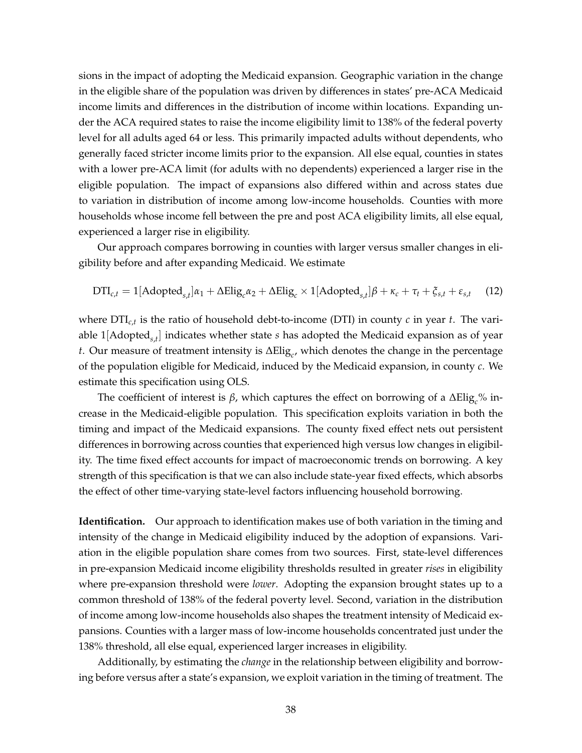sions in the impact of adopting the Medicaid expansion. Geographic variation in the change in the eligible share of the population was driven by differences in states' pre-ACA Medicaid income limits and differences in the distribution of income within locations. Expanding under the ACA required states to raise the income eligibility limit to 138% of the federal poverty level for all adults aged 64 or less. This primarily impacted adults without dependents, who generally faced stricter income limits prior to the expansion. All else equal, counties in states with a lower pre-ACA limit (for adults with no dependents) experienced a larger rise in the eligible population. The impact of expansions also differed within and across states due to variation in distribution of income among low-income households. Counties with more households whose income fell between the pre and post ACA eligibility limits, all else equal, experienced a larger rise in eligibility.

Our approach compares borrowing in counties with larger versus smaller changes in eligibility before and after expanding Medicaid. We estimate

<span id="page-38-0"></span>
$$
DTI_{c,t} = 1[Adopted_{s,t}]\alpha_1 + \Delta \text{Elig}_c \alpha_2 + \Delta \text{Elig}_c \times 1[Adopted_{s,t}]\beta + \kappa_c + \tau_t + \xi_{s,t} + \varepsilon_{s,t} \quad (12)
$$

where DTI*c*,*<sup>t</sup>* is the ratio of household debt-to-income (DTI) in county *c* in year *t*. The variable 1[Adopted*s*,*<sup>t</sup>* ] indicates whether state *s* has adopted the Medicaid expansion as of year *t*. Our measure of treatment intensity is ∆Elig*<sup>c</sup>* , which denotes the change in the percentage of the population eligible for Medicaid, induced by the Medicaid expansion, in county *c*. We estimate this specification using OLS.

The coefficient of interest is *β*, which captures the effect on borrowing of a ΔElig<sub>*c*</sub>% increase in the Medicaid-eligible population. This specification exploits variation in both the timing and impact of the Medicaid expansions. The county fixed effect nets out persistent differences in borrowing across counties that experienced high versus low changes in eligibility. The time fixed effect accounts for impact of macroeconomic trends on borrowing. A key strength of this specification is that we can also include state-year fixed effects, which absorbs the effect of other time-varying state-level factors influencing household borrowing.

**Identification.** Our approach to identification makes use of both variation in the timing and intensity of the change in Medicaid eligibility induced by the adoption of expansions. Variation in the eligible population share comes from two sources. First, state-level differences in pre-expansion Medicaid income eligibility thresholds resulted in greater *rises* in eligibility where pre-expansion threshold were *lower*. Adopting the expansion brought states up to a common threshold of 138% of the federal poverty level. Second, variation in the distribution of income among low-income households also shapes the treatment intensity of Medicaid expansions. Counties with a larger mass of low-income households concentrated just under the 138% threshold, all else equal, experienced larger increases in eligibility.

Additionally, by estimating the *change* in the relationship between eligibility and borrowing before versus after a state's expansion, we exploit variation in the timing of treatment. The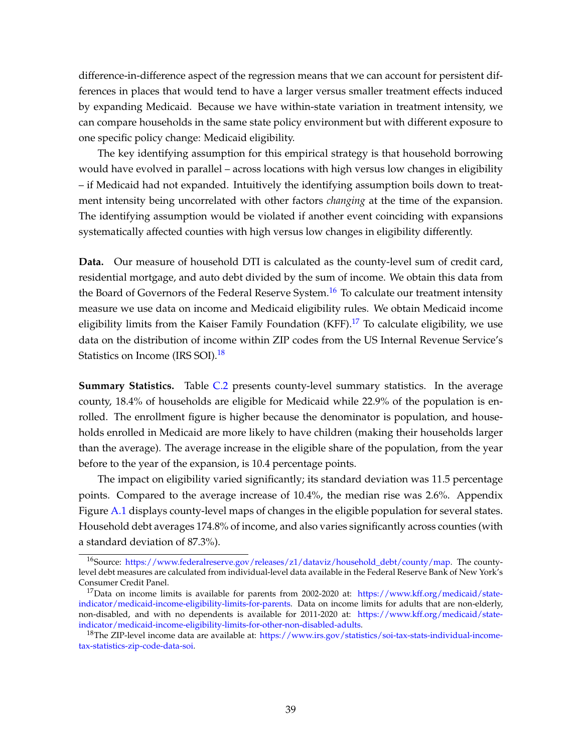difference-in-difference aspect of the regression means that we can account for persistent differences in places that would tend to have a larger versus smaller treatment effects induced by expanding Medicaid. Because we have within-state variation in treatment intensity, we can compare households in the same state policy environment but with different exposure to one specific policy change: Medicaid eligibility.

The key identifying assumption for this empirical strategy is that household borrowing would have evolved in parallel – across locations with high versus low changes in eligibility – if Medicaid had not expanded. Intuitively the identifying assumption boils down to treatment intensity being uncorrelated with other factors *changing* at the time of the expansion. The identifying assumption would be violated if another event coinciding with expansions systematically affected counties with high versus low changes in eligibility differently.

**Data.** Our measure of household DTI is calculated as the county-level sum of credit card, residential mortgage, and auto debt divided by the sum of income. We obtain this data from the Board of Governors of the Federal Reserve System.<sup>[16](#page-39-0)</sup> To calculate our treatment intensity measure we use data on income and Medicaid eligibility rules. We obtain Medicaid income eligibility limits from the Kaiser Family Foundation (KFF).<sup>[17](#page-39-1)</sup> To calculate eligibility, we use data on the distribution of income within ZIP codes from the US Internal Revenue Service's Statistics on Income (IRS SOI).<sup>[18](#page-39-2)</sup>

**Summary Statistics.** Table [C.2](#page-40-0) presents county-level summary statistics. In the average county, 18.4% of households are eligible for Medicaid while 22.9% of the population is enrolled. The enrollment figure is higher because the denominator is population, and households enrolled in Medicaid are more likely to have children (making their households larger than the average). The average increase in the eligible share of the population, from the year before to the year of the expansion, is 10.4 percentage points.

The impact on eligibility varied significantly; its standard deviation was 11.5 percentage points. Compared to the average increase of 10.4%, the median rise was 2.6%. Appendix Figure [A.1](#page-32-1) displays county-level maps of changes in the eligible population for several states. Household debt averages 174.8% of income, and also varies significantly across counties (with a standard deviation of 87.3%).

<span id="page-39-0"></span><sup>&</sup>lt;sup>16</sup>Source: [https://www.federalreserve.gov/releases/z1/dataviz/household\\_debt/county/map.](https://www.federalreserve.gov/releases/z1/dataviz/household_debt/county/map) The countylevel debt measures are calculated from individual-level data available in the Federal Reserve Bank of New York's Consumer Credit Panel.

<span id="page-39-1"></span><sup>&</sup>lt;sup>17</sup>Data on income limits is available for parents from 2002-2020 at: [https://www.kff.org/medicaid/state](https://www.kff.org/medicaid/state-indicator/medicaid-income-eligibility-limits-for-parents)[indicator/medicaid-income-eligibility-limits-for-parents.](https://www.kff.org/medicaid/state-indicator/medicaid-income-eligibility-limits-for-parents) Data on income limits for adults that are non-elderly, non-disabled, and with no dependents is available for 2011-2020 at: [https://www.kff.org/medicaid/state](https://www.kff.org/medicaid/state-indicator/medicaid-income-eligibility-limits-for-other-non-disabled-adults)[indicator/medicaid-income-eligibility-limits-for-other-non-disabled-adults.](https://www.kff.org/medicaid/state-indicator/medicaid-income-eligibility-limits-for-other-non-disabled-adults)

<span id="page-39-2"></span><sup>&</sup>lt;sup>18</sup>The ZIP-level income data are available at: [https://www.irs.gov/statistics/soi-tax-stats-individual-income](https://www.irs.gov/statistics/soi-tax-stats-individual-income-tax-statistics-zip-code-data-soi)[tax-statistics-zip-code-data-soi.](https://www.irs.gov/statistics/soi-tax-stats-individual-income-tax-statistics-zip-code-data-soi)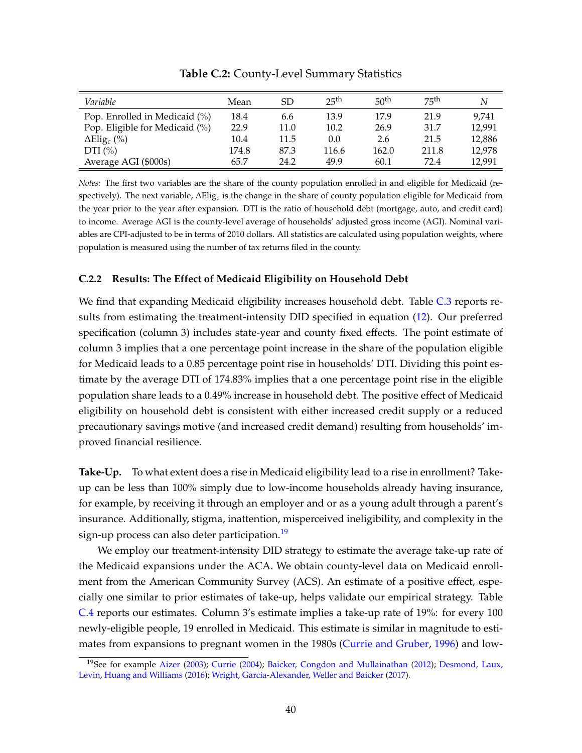<span id="page-40-0"></span>

| Variable                       | Mean  | SD   | 25 <sup>th</sup> | 50 <sup>th</sup> | 75 <sup>th</sup> | N      |
|--------------------------------|-------|------|------------------|------------------|------------------|--------|
| Pop. Enrolled in Medicaid (%)  | 18.4  | 6.6  | 13.9             | 17.9             | 21.9             | 9.741  |
| Pop. Eligible for Medicaid (%) | 22.9  | 11.0 | 10.2             | 26.9             | 31.7             | 12,991 |
| $\Delta$ Elig <sub>c</sub> (%) | 10.4  | 11.5 | 0.0              | 2.6              | 21.5             | 12,886 |
| DTI $(\% )$                    | 174.8 | 87.3 | 116.6            | 162.0            | 211.8            | 12,978 |
| Average AGI (\$000s)           | 65.7  | 24.2 | 49.9             | 60.1             | 72.4             | 12,991 |

**Table C.2:** County-Level Summary Statistics

*Notes:* The first two variables are the share of the county population enrolled in and eligible for Medicaid (respectively). The next variable, ∆Elig*<sup>c</sup>* is the change in the share of county population eligible for Medicaid from the year prior to the year after expansion. DTI is the ratio of household debt (mortgage, auto, and credit card) to income. Average AGI is the county-level average of households' adjusted gross income (AGI). Nominal variables are CPI-adjusted to be in terms of 2010 dollars. All statistics are calculated using population weights, where population is measured using the number of tax returns filed in the county.

## **C.2.2 Results: The Effect of Medicaid Eligibility on Household Debt**

We find that expanding Medicaid eligibility increases household debt. Table [C.3](#page-41-0) reports results from estimating the treatment-intensity DID specified in equation [\(12\)](#page-38-0). Our preferred specification (column 3) includes state-year and county fixed effects. The point estimate of column 3 implies that a one percentage point increase in the share of the population eligible for Medicaid leads to a 0.85 percentage point rise in households' DTI. Dividing this point estimate by the average DTI of 174.83% implies that a one percentage point rise in the eligible population share leads to a 0.49% increase in household debt. The positive effect of Medicaid eligibility on household debt is consistent with either increased credit supply or a reduced precautionary savings motive (and increased credit demand) resulting from households' improved financial resilience.

**Take-Up.** To what extent does a rise in Medicaid eligibility lead to a rise in enrollment? Takeup can be less than 100% simply due to low-income households already having insurance, for example, by receiving it through an employer and or as a young adult through a parent's insurance. Additionally, stigma, inattention, misperceived ineligibility, and complexity in the sign-up process can also deter participation.<sup>[19](#page-40-1)</sup>

We employ our treatment-intensity DID strategy to estimate the average take-up rate of the Medicaid expansions under the ACA. We obtain county-level data on Medicaid enrollment from the American Community Survey (ACS). An estimate of a positive effect, especially one similar to prior estimates of take-up, helps validate our empirical strategy. Table [C.4](#page-42-0) reports our estimates. Column 3's estimate implies a take-up rate of 19%: for every 100 newly-eligible people, 19 enrolled in Medicaid. This estimate is similar in magnitude to estimates from expansions to pregnant women in the 1980s [\(Currie and Gruber,](#page-29-9) [1996\)](#page-29-9) and low-

<span id="page-40-1"></span><sup>&</sup>lt;sup>19</sup>See for example [Aizer](#page-29-10) [\(2003\)](#page-29-10); [Currie](#page-29-11) [\(2004\)](#page-29-11); [Baicker, Congdon and Mullainathan](#page-29-12) [\(2012\)](#page-29-12); [Desmond, Laux,](#page-30-15) [Levin, Huang and Williams](#page-30-15) [\(2016\)](#page-30-15); [Wright, Garcia-Alexander, Weller and Baicker](#page-31-9) [\(2017\)](#page-31-9).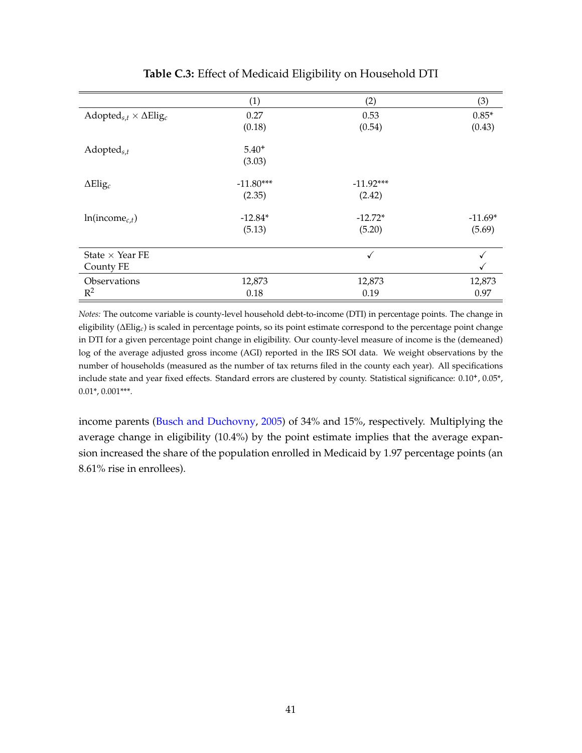<span id="page-41-0"></span>

|                                                            | (1)         | (2)          | (3)       |
|------------------------------------------------------------|-------------|--------------|-----------|
| Adopted <sub>s,t</sub> $\times$ $\Delta$ Elig <sub>c</sub> | 0.27        | 0.53         | $0.85*$   |
|                                                            | (0.18)      | (0.54)       | (0.43)    |
|                                                            | $5.40^{+}$  |              |           |
| $Adopted_{s,t}$                                            |             |              |           |
|                                                            | (3.03)      |              |           |
| $\Delta$ Elig <sub>c</sub>                                 | $-11.80***$ | $-11.92***$  |           |
|                                                            | (2.35)      | (2.42)       |           |
|                                                            |             |              |           |
| $ln(income_{c,t})$                                         | $-12.84*$   | $-12.72*$    | $-11.69*$ |
|                                                            | (5.13)      | (5.20)       | (5.69)    |
| State $\times$ Year FE                                     |             | $\checkmark$ |           |
|                                                            |             |              |           |
| County FE                                                  |             |              |           |
| Observations                                               | 12,873      | 12,873       | 12,873    |
| $R^2$                                                      | 0.18        | 0.19         | 0.97      |

## **Table C.3:** Effect of Medicaid Eligibility on Household DTI

*Notes:* The outcome variable is county-level household debt-to-income (DTI) in percentage points. The change in eligibility (∆Elig*c*) is scaled in percentage points, so its point estimate correspond to the percentage point change in DTI for a given percentage point change in eligibility. Our county-level measure of income is the (demeaned) log of the average adjusted gross income (AGI) reported in the IRS SOI data. We weight observations by the number of households (measured as the number of tax returns filed in the county each year). All specifications include state and year fixed effects. Standard errors are clustered by county. Statistical significance: 0.10**<sup>+</sup>** , 0.05\*, 0.01\*, 0.001\*\*\*.

income parents [\(Busch and Duchovny,](#page-29-13) [2005\)](#page-29-13) of 34% and 15%, respectively. Multiplying the average change in eligibility (10.4%) by the point estimate implies that the average expansion increased the share of the population enrolled in Medicaid by 1.97 percentage points (an 8.61% rise in enrollees).